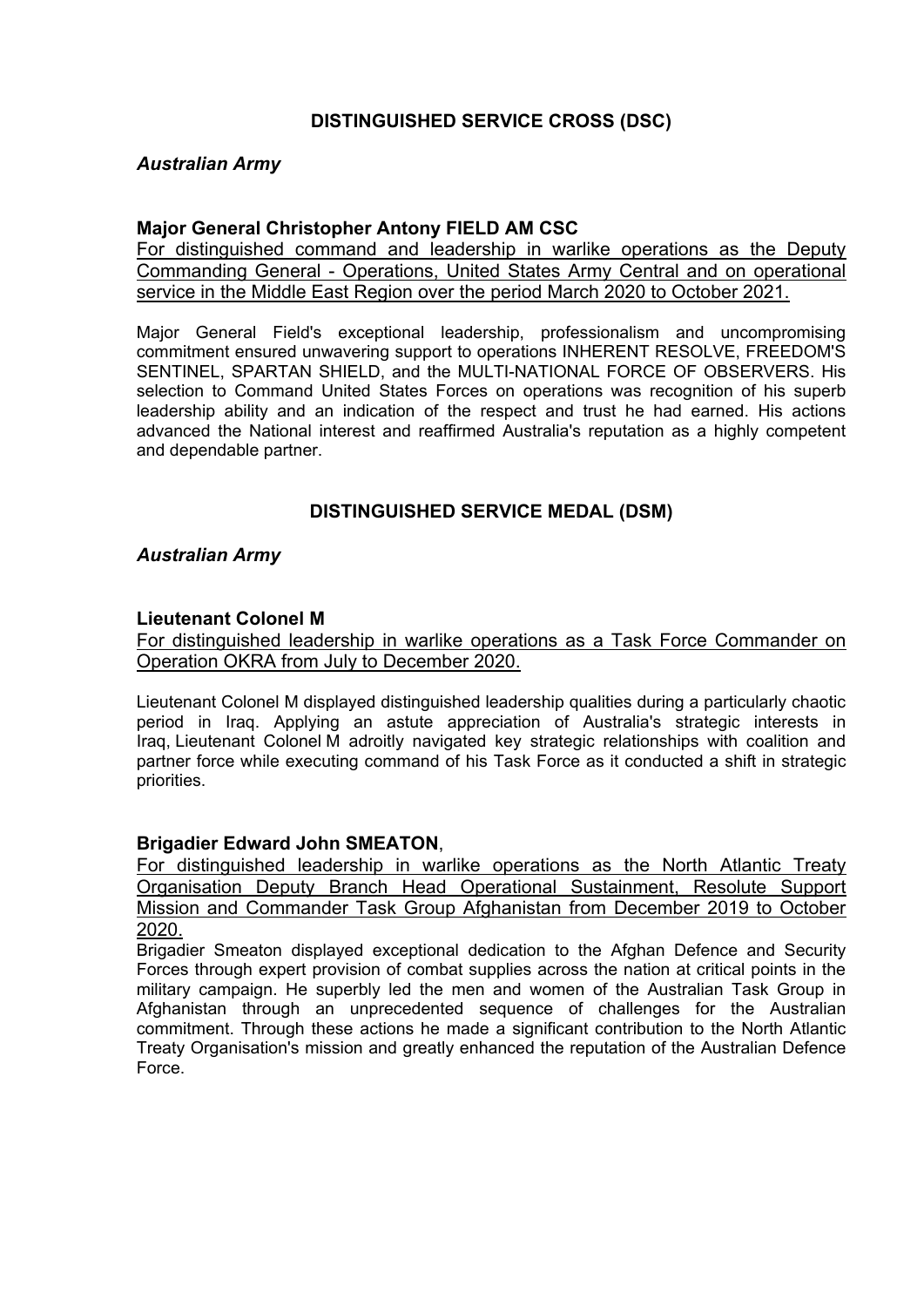# **DISTINGUISHED SERVICE CROSS (DSC)**

### *Australian Army*

#### **Major General Christopher Antony FIELD AM CSC**

For distinguished command and leadership in warlike operations as the Deputy Commanding General - Operations, United States Army Central and on operational service in the Middle East Region over the period March 2020 to October 2021.

Major General Field's exceptional leadership, professionalism and uncompromising commitment ensured unwavering support to operations INHERENT RESOLVE, FREEDOM'S SENTINEL, SPARTAN SHIELD, and the MULTI-NATIONAL FORCE OF OBSERVERS. His selection to Command United States Forces on operations was recognition of his superb leadership ability and an indication of the respect and trust he had earned. His actions advanced the National interest and reaffirmed Australia's reputation as a highly competent and dependable partner.

## **DISTINGUISHED SERVICE MEDAL (DSM)**

### *Australian Army*

#### **Lieutenant Colonel M**

For distinguished leadership in warlike operations as a Task Force Commander on Operation OKRA from July to December 2020.

Lieutenant Colonel M displayed distinguished leadership qualities during a particularly chaotic period in Iraq. Applying an astute appreciation of Australia's strategic interests in Iraq, Lieutenant Colonel M adroitly navigated key strategic relationships with coalition and partner force while executing command of his Task Force as it conducted a shift in strategic priorities.

#### **Brigadier Edward John SMEATON**,

For distinguished leadership in warlike operations as the North Atlantic Treaty Organisation Deputy Branch Head Operational Sustainment, Resolute Support Mission and Commander Task Group Afghanistan from December 2019 to October 2020.

Brigadier Smeaton displayed exceptional dedication to the Afghan Defence and Security Forces through expert provision of combat supplies across the nation at critical points in the military campaign. He superbly led the men and women of the Australian Task Group in Afghanistan through an unprecedented sequence of challenges for the Australian commitment. Through these actions he made a significant contribution to the North Atlantic Treaty Organisation's mission and greatly enhanced the reputation of the Australian Defence Force.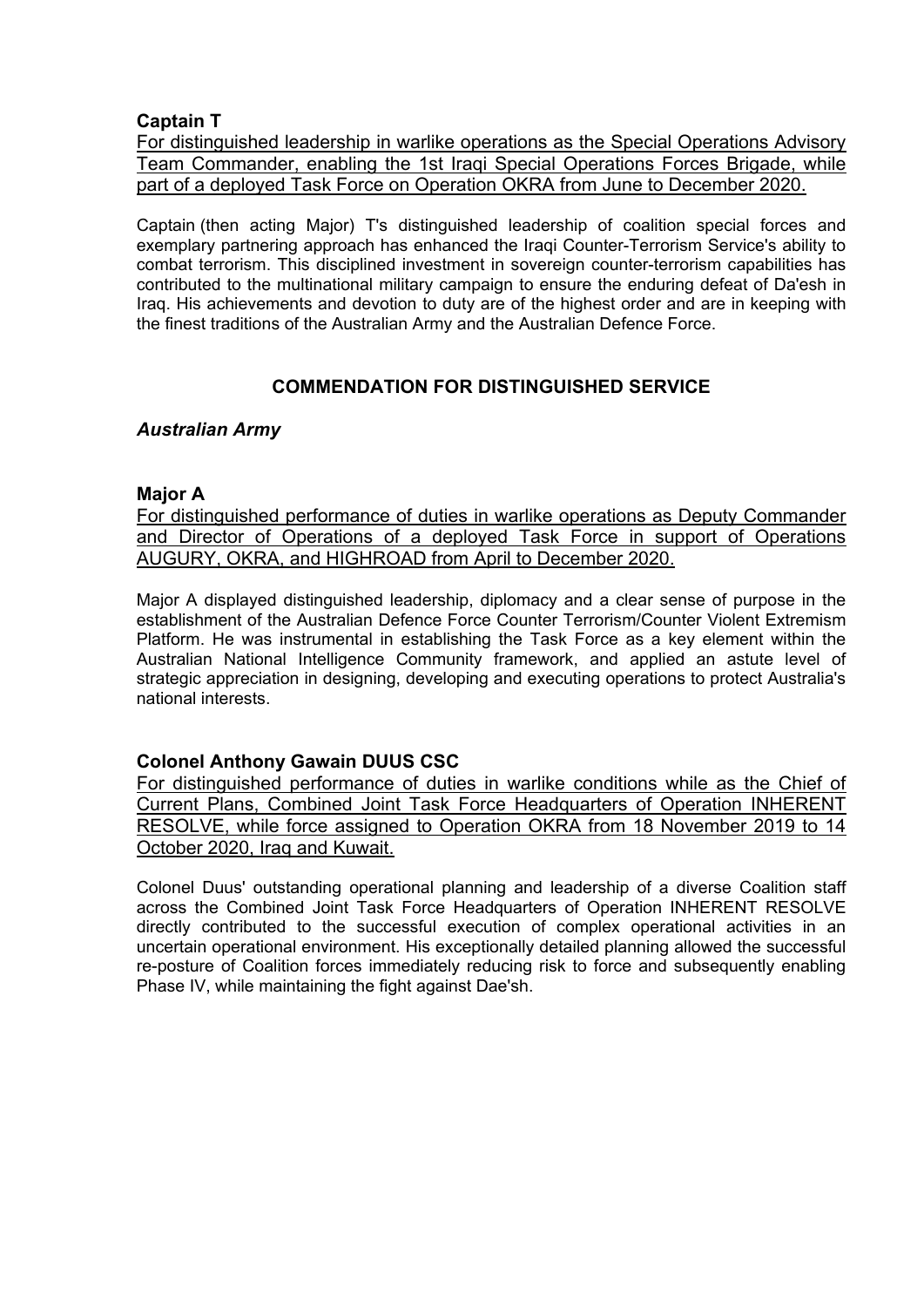## **Captain T**

For distinguished leadership in warlike operations as the Special Operations Advisory Team Commander, enabling the 1st Iraqi Special Operations Forces Brigade, while part of a deployed Task Force on Operation OKRA from June to December 2020.

Captain (then acting Major) T's distinguished leadership of coalition special forces and exemplary partnering approach has enhanced the Iraqi Counter-Terrorism Service's ability to combat terrorism. This disciplined investment in sovereign counter-terrorism capabilities has contributed to the multinational military campaign to ensure the enduring defeat of Da'esh in Iraq. His achievements and devotion to duty are of the highest order and are in keeping with the finest traditions of the Australian Army and the Australian Defence Force.

# **COMMENDATION FOR DISTINGUISHED SERVICE**

### *Australian Army*

#### **Major A**

For distinguished performance of duties in warlike operations as Deputy Commander and Director of Operations of a deployed Task Force in support of Operations AUGURY, OKRA, and HIGHROAD from April to December 2020.

Major A displayed distinguished leadership, diplomacy and a clear sense of purpose in the establishment of the Australian Defence Force Counter Terrorism/Counter Violent Extremism Platform. He was instrumental in establishing the Task Force as a key element within the Australian National Intelligence Community framework, and applied an astute level of strategic appreciation in designing, developing and executing operations to protect Australia's national interests.

## **Colonel Anthony Gawain DUUS CSC**

For distinguished performance of duties in warlike conditions while as the Chief of Current Plans, Combined Joint Task Force Headquarters of Operation INHERENT RESOLVE, while force assigned to Operation OKRA from 18 November 2019 to 14 October 2020, Iraq and Kuwait.

Colonel Duus' outstanding operational planning and leadership of a diverse Coalition staff across the Combined Joint Task Force Headquarters of Operation INHERENT RESOLVE directly contributed to the successful execution of complex operational activities in an uncertain operational environment. His exceptionally detailed planning allowed the successful re-posture of Coalition forces immediately reducing risk to force and subsequently enabling Phase IV, while maintaining the fight against Dae'sh.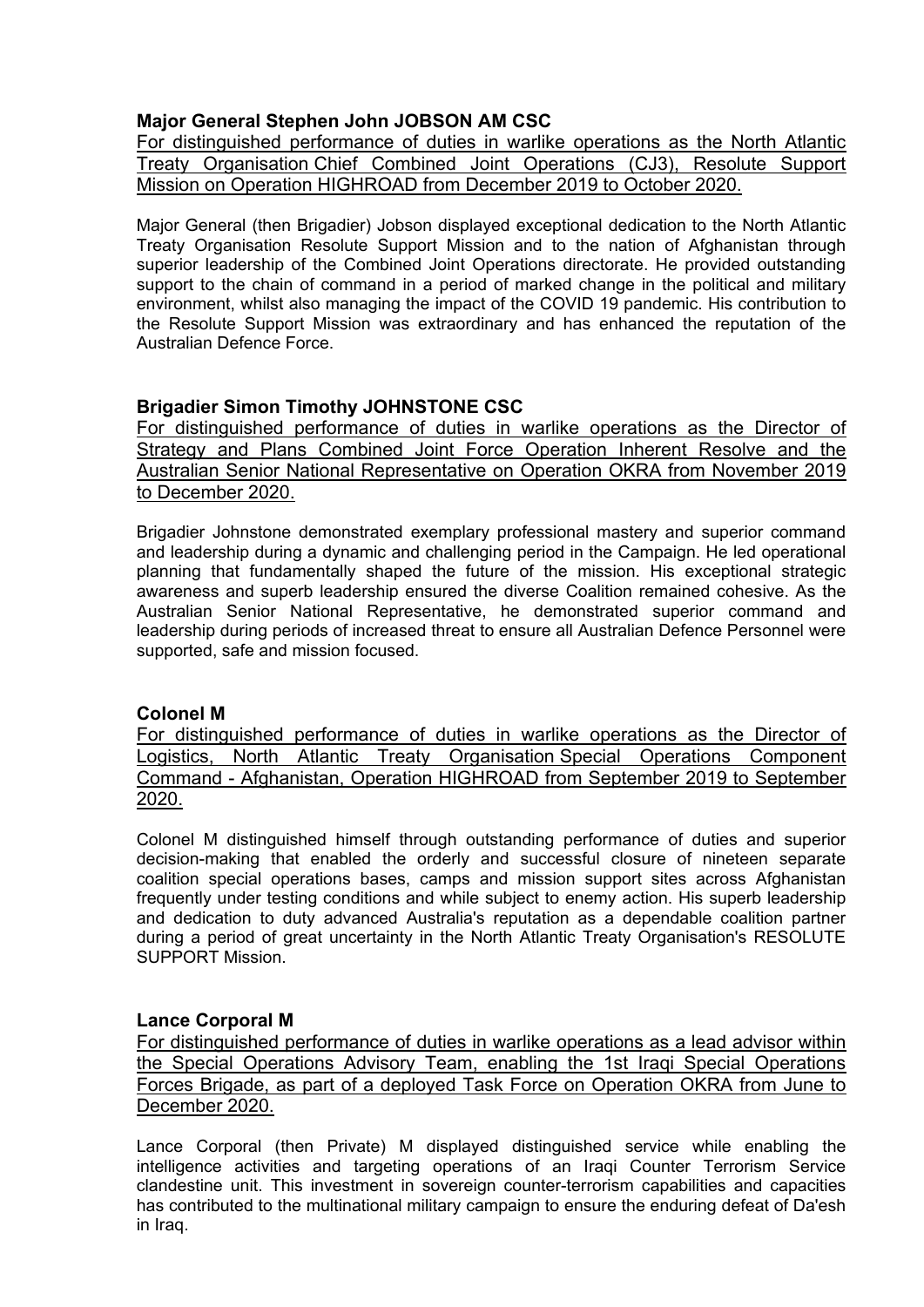# **Major General Stephen John JOBSON AM CSC**

For distinguished performance of duties in warlike operations as the North Atlantic Treaty Organisation Chief Combined Joint Operations (CJ3), Resolute Support Mission on Operation HIGHROAD from December 2019 to October 2020.

Major General (then Brigadier) Jobson displayed exceptional dedication to the North Atlantic Treaty Organisation Resolute Support Mission and to the nation of Afghanistan through superior leadership of the Combined Joint Operations directorate. He provided outstanding support to the chain of command in a period of marked change in the political and military environment, whilst also managing the impact of the COVID 19 pandemic. His contribution to the Resolute Support Mission was extraordinary and has enhanced the reputation of the Australian Defence Force.

# **Brigadier Simon Timothy JOHNSTONE CSC**

For distinguished performance of duties in warlike operations as the Director of Strategy and Plans Combined Joint Force Operation Inherent Resolve and the Australian Senior National Representative on Operation OKRA from November 2019 to December 2020.

Brigadier Johnstone demonstrated exemplary professional mastery and superior command and leadership during a dynamic and challenging period in the Campaign. He led operational planning that fundamentally shaped the future of the mission. His exceptional strategic awareness and superb leadership ensured the diverse Coalition remained cohesive. As the Australian Senior National Representative, he demonstrated superior command and leadership during periods of increased threat to ensure all Australian Defence Personnel were supported, safe and mission focused.

## **Colonel M**

For distinguished performance of duties in warlike operations as the Director of Logistics, North Atlantic Treaty Organisation Special Operations Component Command - Afghanistan, Operation HIGHROAD from September 2019 to September 2020.

Colonel M distinguished himself through outstanding performance of duties and superior decision-making that enabled the orderly and successful closure of nineteen separate coalition special operations bases, camps and mission support sites across Afghanistan frequently under testing conditions and while subject to enemy action. His superb leadership and dedication to duty advanced Australia's reputation as a dependable coalition partner during a period of great uncertainty in the North Atlantic Treaty Organisation's RESOLUTE SUPPORT Mission.

## **Lance Corporal M**

For distinguished performance of duties in warlike operations as a lead advisor within the Special Operations Advisory Team, enabling the 1st Iraqi Special Operations Forces Brigade, as part of a deployed Task Force on Operation OKRA from June to December 2020.

Lance Corporal (then Private) M displayed distinguished service while enabling the intelligence activities and targeting operations of an Iraqi Counter Terrorism Service clandestine unit. This investment in sovereign counter-terrorism capabilities and capacities has contributed to the multinational military campaign to ensure the enduring defeat of Da'esh in Iraq.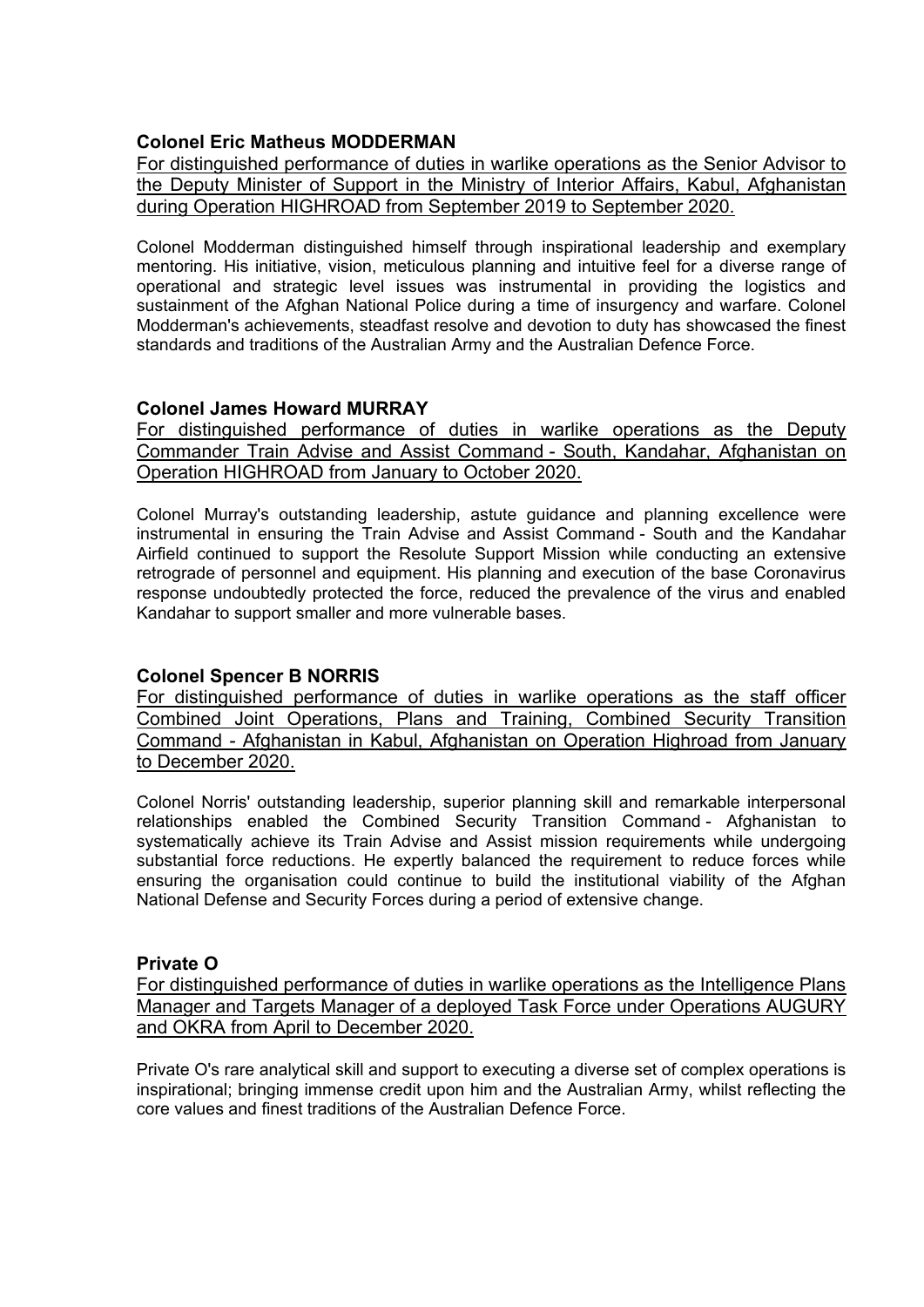## **Colonel Eric Matheus MODDERMAN**

For distinguished performance of duties in warlike operations as the Senior Advisor to the Deputy Minister of Support in the Ministry of Interior Affairs, Kabul, Afghanistan during Operation HIGHROAD from September 2019 to September 2020.

Colonel Modderman distinguished himself through inspirational leadership and exemplary mentoring. His initiative, vision, meticulous planning and intuitive feel for a diverse range of operational and strategic level issues was instrumental in providing the logistics and sustainment of the Afghan National Police during a time of insurgency and warfare. Colonel Modderman's achievements, steadfast resolve and devotion to duty has showcased the finest standards and traditions of the Australian Army and the Australian Defence Force.

## **Colonel James Howard MURRAY**

For distinguished performance of duties in warlike operations as the Deputy Commander Train Advise and Assist Command - South, Kandahar, Afghanistan on Operation HIGHROAD from January to October 2020.

Colonel Murray's outstanding leadership, astute guidance and planning excellence were instrumental in ensuring the Train Advise and Assist Command - South and the Kandahar Airfield continued to support the Resolute Support Mission while conducting an extensive retrograde of personnel and equipment. His planning and execution of the base Coronavirus response undoubtedly protected the force, reduced the prevalence of the virus and enabled Kandahar to support smaller and more vulnerable bases.

## **Colonel Spencer B NORRIS**

For distinguished performance of duties in warlike operations as the staff officer Combined Joint Operations, Plans and Training, Combined Security Transition Command - Afghanistan in Kabul, Afghanistan on Operation Highroad from January to December 2020.

Colonel Norris' outstanding leadership, superior planning skill and remarkable interpersonal relationships enabled the Combined Security Transition Command - Afghanistan to systematically achieve its Train Advise and Assist mission requirements while undergoing substantial force reductions. He expertly balanced the requirement to reduce forces while ensuring the organisation could continue to build the institutional viability of the Afghan National Defense and Security Forces during a period of extensive change.

#### **Private O**

For distinguished performance of duties in warlike operations as the Intelligence Plans Manager and Targets Manager of a deployed Task Force under Operations AUGURY and OKRA from April to December 2020.

Private O's rare analytical skill and support to executing a diverse set of complex operations is inspirational; bringing immense credit upon him and the Australian Army, whilst reflecting the core values and finest traditions of the Australian Defence Force.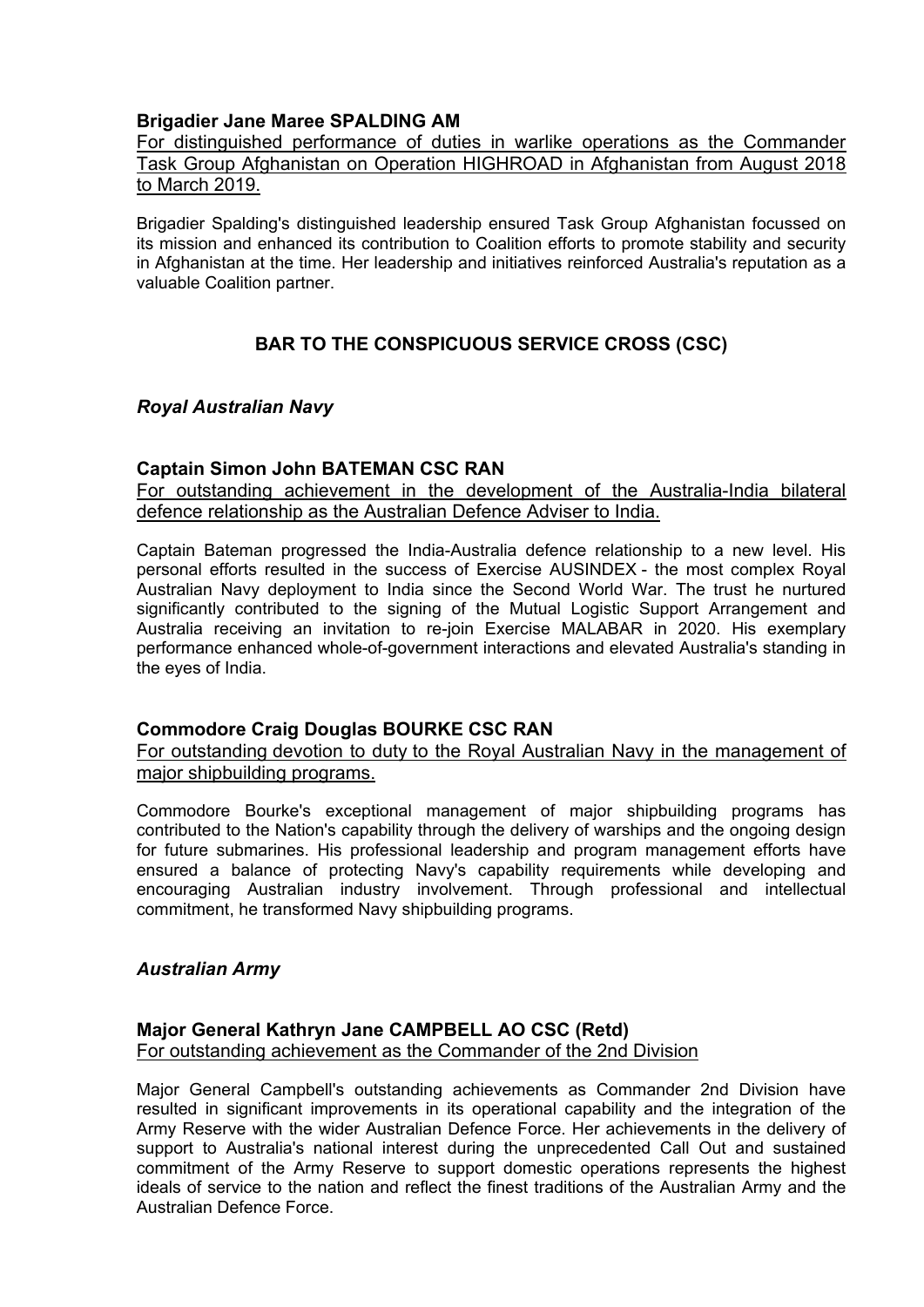### **Brigadier Jane Maree SPALDING AM**

For distinguished performance of duties in warlike operations as the Commander Task Group Afghanistan on Operation HIGHROAD in Afghanistan from August 2018 to March 2019.

Brigadier Spalding's distinguished leadership ensured Task Group Afghanistan focussed on its mission and enhanced its contribution to Coalition efforts to promote stability and security in Afghanistan at the time. Her leadership and initiatives reinforced Australia's reputation as a valuable Coalition partner.

# **BAR TO THE CONSPICUOUS SERVICE CROSS (CSC)**

### *Royal Australian Navy*

#### **Captain Simon John BATEMAN CSC RAN**

For outstanding achievement in the development of the Australia-India bilateral defence relationship as the Australian Defence Adviser to India.

Captain Bateman progressed the India-Australia defence relationship to a new level. His personal efforts resulted in the success of Exercise AUSINDEX - the most complex Royal Australian Navy deployment to India since the Second World War. The trust he nurtured significantly contributed to the signing of the Mutual Logistic Support Arrangement and Australia receiving an invitation to re-join Exercise MALABAR in 2020. His exemplary performance enhanced whole-of-government interactions and elevated Australia's standing in the eyes of India.

#### **Commodore Craig Douglas BOURKE CSC RAN**

For outstanding devotion to duty to the Royal Australian Navy in the management of major shipbuilding programs.

Commodore Bourke's exceptional management of major shipbuilding programs has contributed to the Nation's capability through the delivery of warships and the ongoing design for future submarines. His professional leadership and program management efforts have ensured a balance of protecting Navy's capability requirements while developing and encouraging Australian industry involvement. Through professional and intellectual commitment, he transformed Navy shipbuilding programs.

#### *Australian Army*

### **Major General Kathryn Jane CAMPBELL AO CSC (Retd)** For outstanding achievement as the Commander of the 2nd Division

Major General Campbell's outstanding achievements as Commander 2nd Division have resulted in significant improvements in its operational capability and the integration of the Army Reserve with the wider Australian Defence Force. Her achievements in the delivery of support to Australia's national interest during the unprecedented Call Out and sustained commitment of the Army Reserve to support domestic operations represents the highest ideals of service to the nation and reflect the finest traditions of the Australian Army and the Australian Defence Force.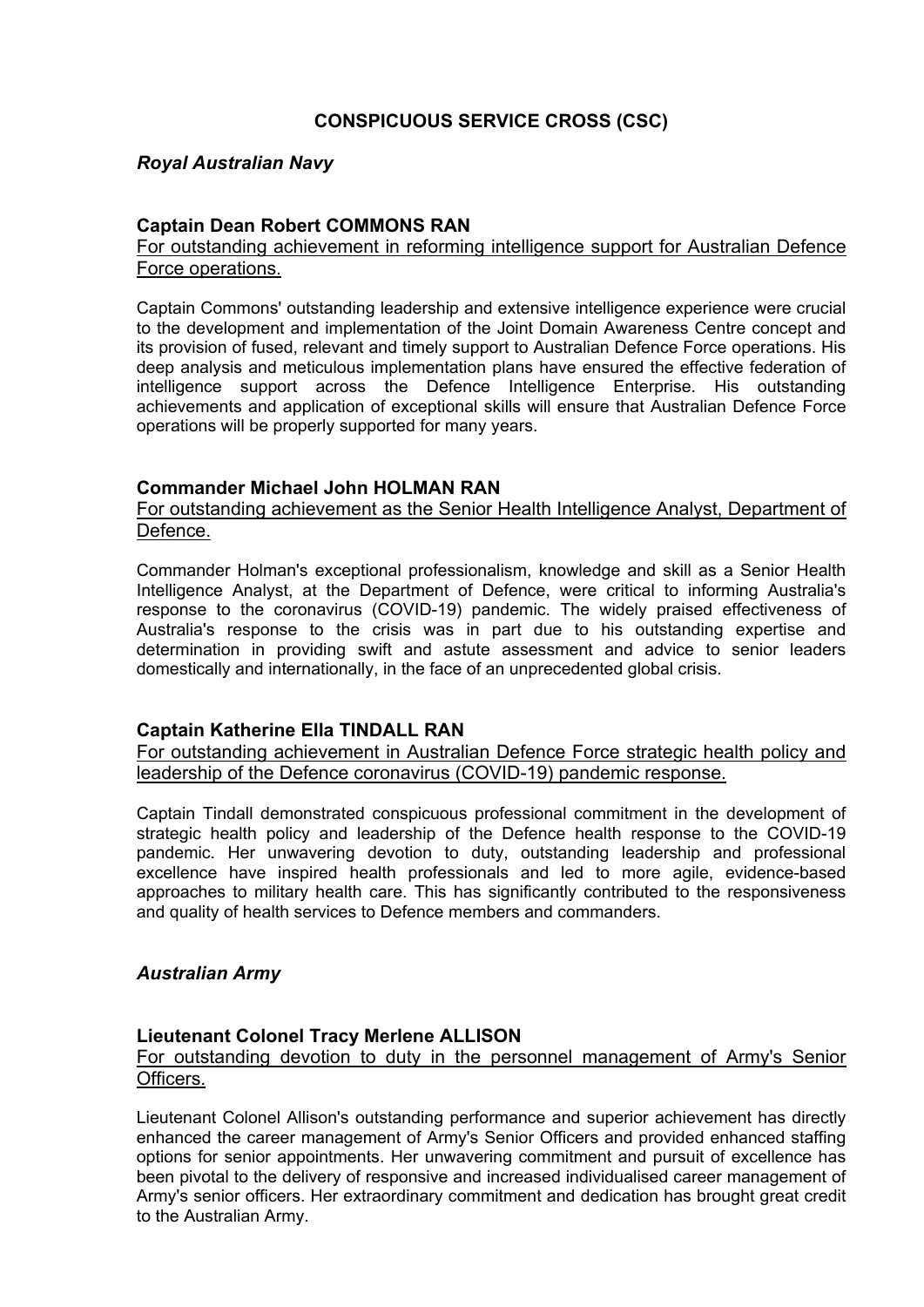# **CONSPICUOUS SERVICE CROSS (CSC)**

### *Royal Australian Navy*

### **Captain Dean Robert COMMONS RAN**

### For outstanding achievement in reforming intelligence support for Australian Defence Force operations.

Captain Commons' outstanding leadership and extensive intelligence experience were crucial to the development and implementation of the Joint Domain Awareness Centre concept and its provision of fused, relevant and timely support to Australian Defence Force operations. His deep analysis and meticulous implementation plans have ensured the effective federation of intelligence support across the Defence Intelligence Enterprise. His outstanding achievements and application of exceptional skills will ensure that Australian Defence Force operations will be properly supported for many years.

### **Commander Michael John HOLMAN RAN**

#### For outstanding achievement as the Senior Health Intelligence Analyst, Department of Defence.

Commander Holman's exceptional professionalism, knowledge and skill as a Senior Health Intelligence Analyst, at the Department of Defence, were critical to informing Australia's response to the coronavirus (COVID-19) pandemic. The widely praised effectiveness of Australia's response to the crisis was in part due to his outstanding expertise and determination in providing swift and astute assessment and advice to senior leaders domestically and internationally, in the face of an unprecedented global crisis.

#### **Captain Katherine Ella TINDALL RAN**

For outstanding achievement in Australian Defence Force strategic health policy and leadership of the Defence coronavirus (COVID-19) pandemic response.

Captain Tindall demonstrated conspicuous professional commitment in the development of strategic health policy and leadership of the Defence health response to the COVID-19 pandemic. Her unwavering devotion to duty, outstanding leadership and professional excellence have inspired health professionals and led to more agile, evidence-based approaches to military health care. This has significantly contributed to the responsiveness and quality of health services to Defence members and commanders.

#### *Australian Army*

#### **Lieutenant Colonel Tracy Merlene ALLISON**

#### For outstanding devotion to duty in the personnel management of Army's Senior Officers.

Lieutenant Colonel Allison's outstanding performance and superior achievement has directly enhanced the career management of Army's Senior Officers and provided enhanced staffing options for senior appointments. Her unwavering commitment and pursuit of excellence has been pivotal to the delivery of responsive and increased individualised career management of Army's senior officers. Her extraordinary commitment and dedication has brought great credit to the Australian Army.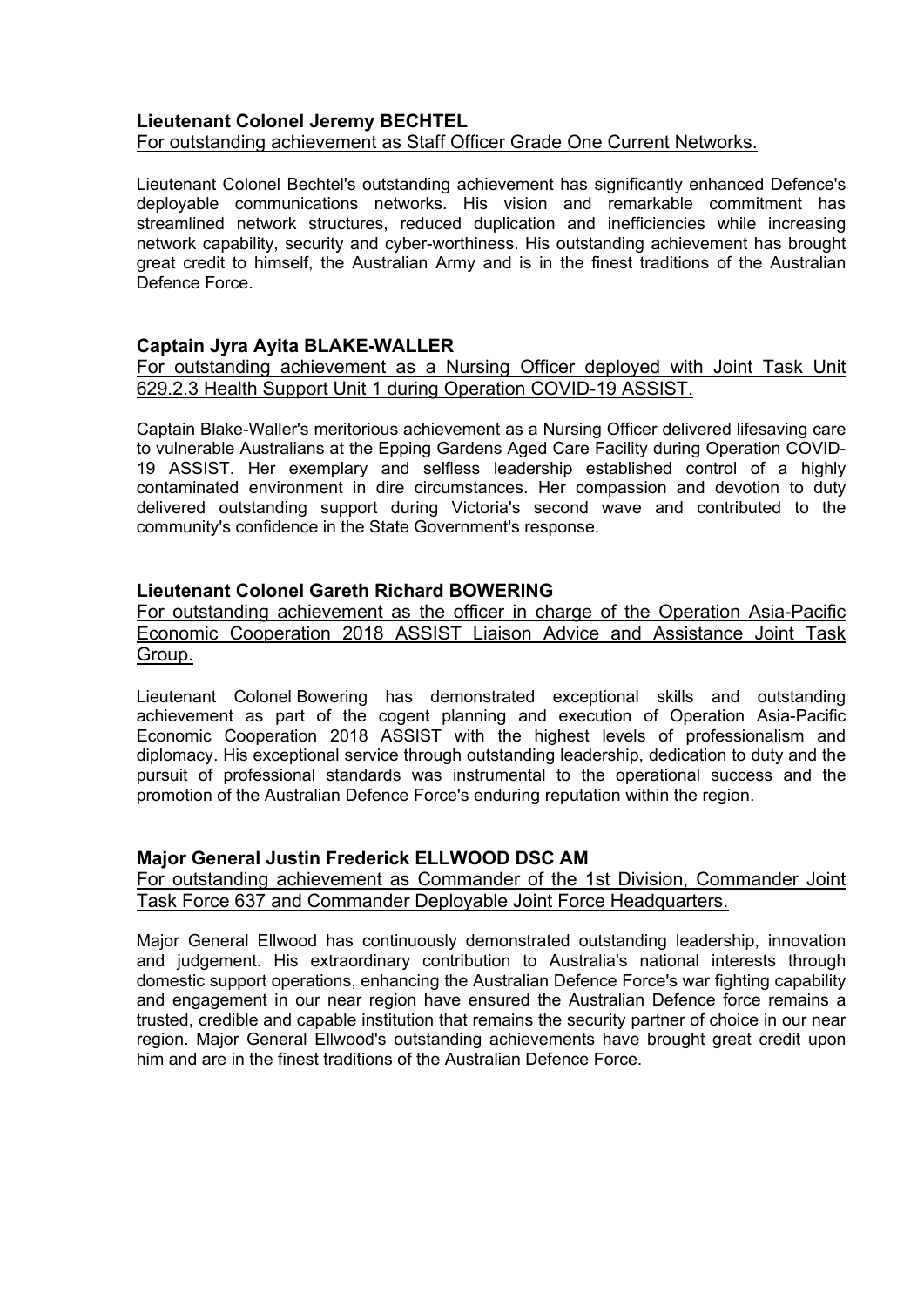### **Lieutenant Colonel Jeremy BECHTEL** For outstanding achievement as Staff Officer Grade One Current Networks.

Lieutenant Colonel Bechtel's outstanding achievement has significantly enhanced Defence's deployable communications networks. His vision and remarkable commitment has streamlined network structures, reduced duplication and inefficiencies while increasing network capability, security and cyber-worthiness. His outstanding achievement has brought great credit to himself, the Australian Army and is in the finest traditions of the Australian Defence Force.

## **Captain Jyra Ayita BLAKE-WALLER**

For outstanding achievement as a Nursing Officer deployed with Joint Task Unit 629.2.3 Health Support Unit 1 during Operation COVID-19 ASSIST.

Captain Blake-Waller's meritorious achievement as a Nursing Officer delivered lifesaving care to vulnerable Australians at the Epping Gardens Aged Care Facility during Operation COVID-19 ASSIST. Her exemplary and selfless leadership established control of a highly contaminated environment in dire circumstances. Her compassion and devotion to duty delivered outstanding support during Victoria's second wave and contributed to the community's confidence in the State Government's response.

### **Lieutenant Colonel Gareth Richard BOWERING**

For outstanding achievement as the officer in charge of the Operation Asia-Pacific Economic Cooperation 2018 ASSIST Liaison Advice and Assistance Joint Task Group.

Lieutenant Colonel Bowering has demonstrated exceptional skills and outstanding achievement as part of the cogent planning and execution of Operation Asia-Pacific Economic Cooperation 2018 ASSIST with the highest levels of professionalism and diplomacy. His exceptional service through outstanding leadership, dedication to duty and the pursuit of professional standards was instrumental to the operational success and the promotion of the Australian Defence Force's enduring reputation within the region.

## **Major General Justin Frederick ELLWOOD DSC AM**

For outstanding achievement as Commander of the 1st Division, Commander Joint Task Force 637 and Commander Deployable Joint Force Headquarters.

Major General Ellwood has continuously demonstrated outstanding leadership, innovation and judgement. His extraordinary contribution to Australia's national interests through domestic support operations, enhancing the Australian Defence Force's war fighting capability and engagement in our near region have ensured the Australian Defence force remains a trusted, credible and capable institution that remains the security partner of choice in our near region. Major General Ellwood's outstanding achievements have brought great credit upon him and are in the finest traditions of the Australian Defence Force.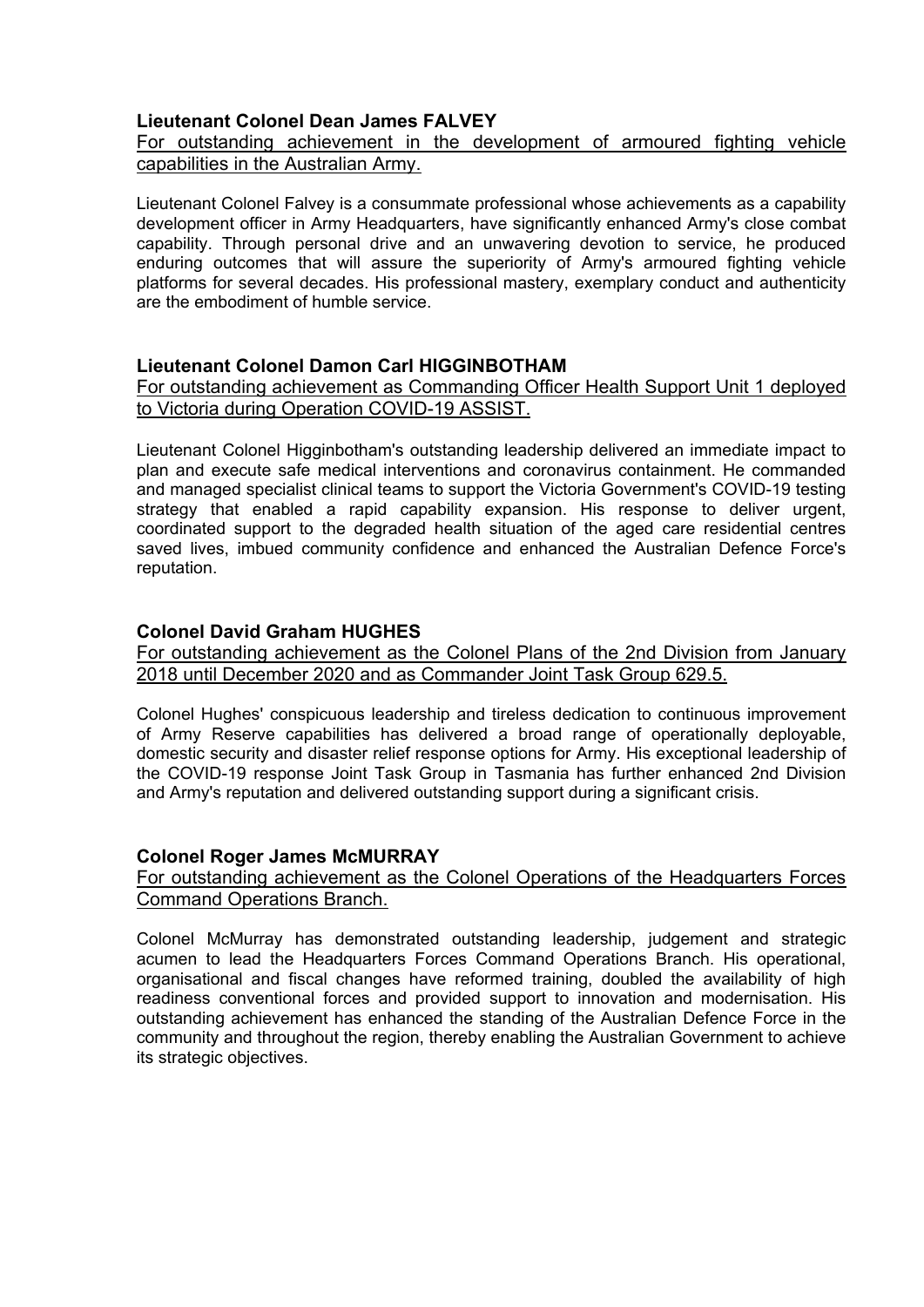## **Lieutenant Colonel Dean James FALVEY**

For outstanding achievement in the development of armoured fighting vehicle capabilities in the Australian Army.

Lieutenant Colonel Falvey is a consummate professional whose achievements as a capability development officer in Army Headquarters, have significantly enhanced Army's close combat capability. Through personal drive and an unwavering devotion to service, he produced enduring outcomes that will assure the superiority of Army's armoured fighting vehicle platforms for several decades. His professional mastery, exemplary conduct and authenticity are the embodiment of humble service.

## **Lieutenant Colonel Damon Carl HIGGINBOTHAM**

For outstanding achievement as Commanding Officer Health Support Unit 1 deployed to Victoria during Operation COVID-19 ASSIST.

Lieutenant Colonel Higginbotham's outstanding leadership delivered an immediate impact to plan and execute safe medical interventions and coronavirus containment. He commanded and managed specialist clinical teams to support the Victoria Government's COVID-19 testing strategy that enabled a rapid capability expansion. His response to deliver urgent, coordinated support to the degraded health situation of the aged care residential centres saved lives, imbued community confidence and enhanced the Australian Defence Force's reputation.

## **Colonel David Graham HUGHES**

For outstanding achievement as the Colonel Plans of the 2nd Division from January 2018 until December 2020 and as Commander Joint Task Group 629.5.

Colonel Hughes' conspicuous leadership and tireless dedication to continuous improvement of Army Reserve capabilities has delivered a broad range of operationally deployable, domestic security and disaster relief response options for Army. His exceptional leadership of the COVID-19 response Joint Task Group in Tasmania has further enhanced 2nd Division and Army's reputation and delivered outstanding support during a significant crisis.

### **Colonel Roger James McMURRAY**

### For outstanding achievement as the Colonel Operations of the Headquarters Forces Command Operations Branch.

Colonel McMurray has demonstrated outstanding leadership, judgement and strategic acumen to lead the Headquarters Forces Command Operations Branch. His operational, organisational and fiscal changes have reformed training, doubled the availability of high readiness conventional forces and provided support to innovation and modernisation. His outstanding achievement has enhanced the standing of the Australian Defence Force in the community and throughout the region, thereby enabling the Australian Government to achieve its strategic objectives.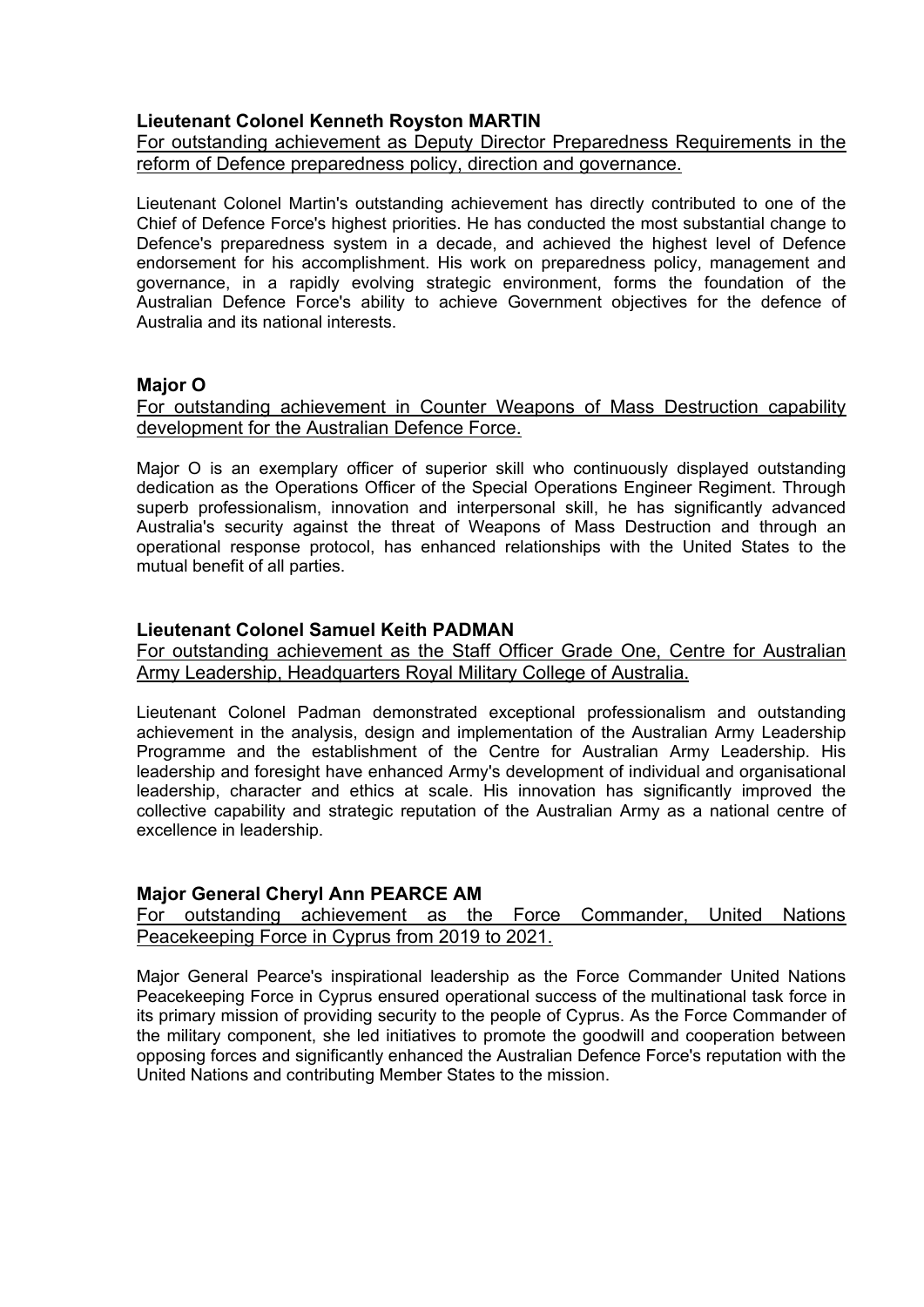## **Lieutenant Colonel Kenneth Royston MARTIN**

For outstanding achievement as Deputy Director Preparedness Requirements in the reform of Defence preparedness policy, direction and governance.

Lieutenant Colonel Martin's outstanding achievement has directly contributed to one of the Chief of Defence Force's highest priorities. He has conducted the most substantial change to Defence's preparedness system in a decade, and achieved the highest level of Defence endorsement for his accomplishment. His work on preparedness policy, management and governance, in a rapidly evolving strategic environment, forms the foundation of the Australian Defence Force's ability to achieve Government objectives for the defence of Australia and its national interests.

#### **Major O**

For outstanding achievement in Counter Weapons of Mass Destruction capability development for the Australian Defence Force.

Major O is an exemplary officer of superior skill who continuously displayed outstanding dedication as the Operations Officer of the Special Operations Engineer Regiment. Through superb professionalism, innovation and interpersonal skill, he has significantly advanced Australia's security against the threat of Weapons of Mass Destruction and through an operational response protocol, has enhanced relationships with the United States to the mutual benefit of all parties.

#### **Lieutenant Colonel Samuel Keith PADMAN**

For outstanding achievement as the Staff Officer Grade One, Centre for Australian Army Leadership, Headquarters Royal Military College of Australia.

Lieutenant Colonel Padman demonstrated exceptional professionalism and outstanding achievement in the analysis, design and implementation of the Australian Army Leadership Programme and the establishment of the Centre for Australian Army Leadership. His leadership and foresight have enhanced Army's development of individual and organisational leadership, character and ethics at scale. His innovation has significantly improved the collective capability and strategic reputation of the Australian Army as a national centre of excellence in leadership.

#### **Major General Cheryl Ann PEARCE AM**

For outstanding achievement as the Force Commander, United Nations Peacekeeping Force in Cyprus from 2019 to 2021.

Major General Pearce's inspirational leadership as the Force Commander United Nations Peacekeeping Force in Cyprus ensured operational success of the multinational task force in its primary mission of providing security to the people of Cyprus. As the Force Commander of the military component, she led initiatives to promote the goodwill and cooperation between opposing forces and significantly enhanced the Australian Defence Force's reputation with the United Nations and contributing Member States to the mission.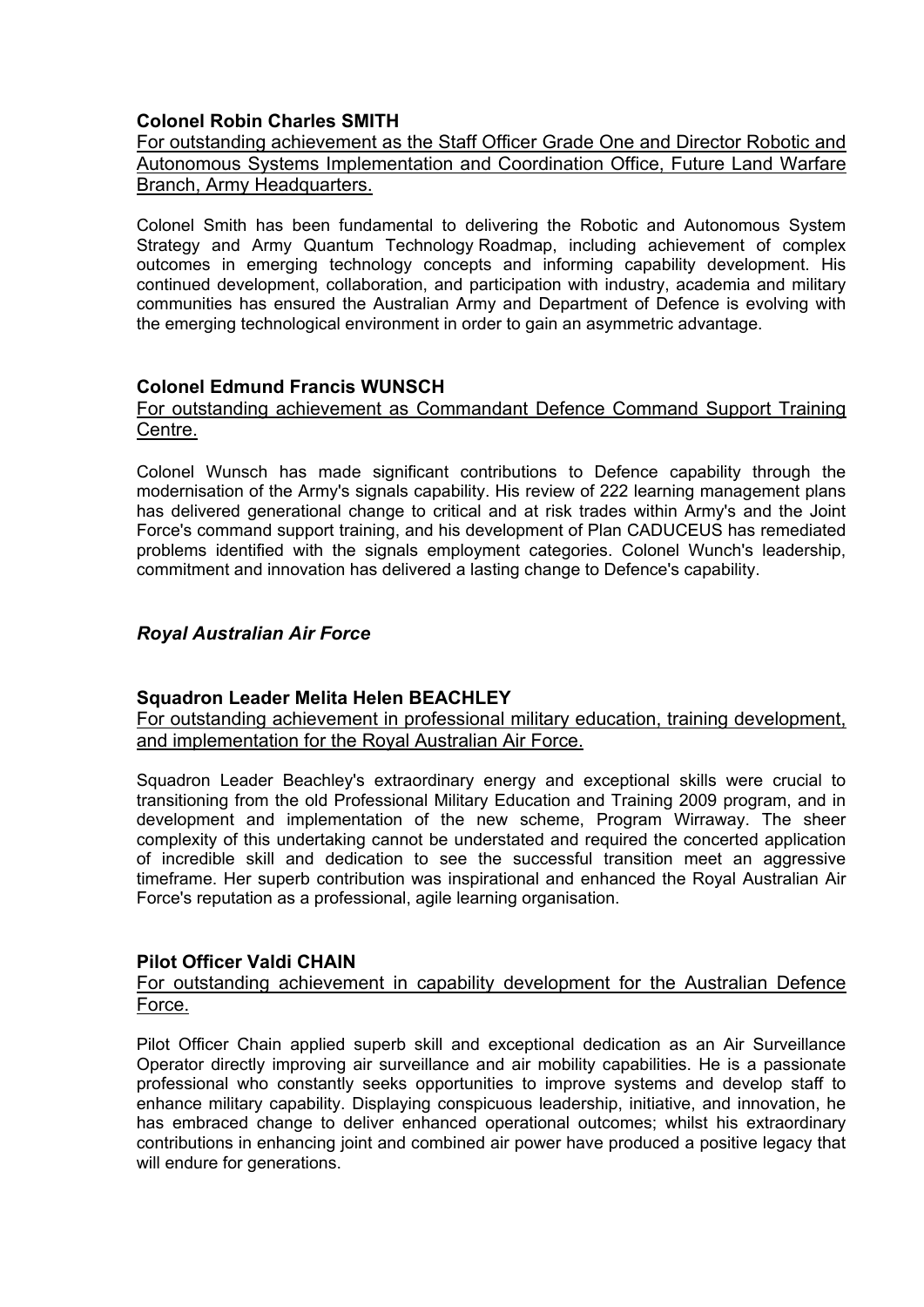### **Colonel Robin Charles SMITH**

For outstanding achievement as the Staff Officer Grade One and Director Robotic and Autonomous Systems Implementation and Coordination Office, Future Land Warfare Branch, Army Headquarters.

Colonel Smith has been fundamental to delivering the Robotic and Autonomous System Strategy and Army Quantum Technology Roadmap, including achievement of complex outcomes in emerging technology concepts and informing capability development. His continued development, collaboration, and participation with industry, academia and military communities has ensured the Australian Army and Department of Defence is evolving with the emerging technological environment in order to gain an asymmetric advantage.

#### **Colonel Edmund Francis WUNSCH**

### For outstanding achievement as Commandant Defence Command Support Training Centre.

Colonel Wunsch has made significant contributions to Defence capability through the modernisation of the Army's signals capability. His review of 222 learning management plans has delivered generational change to critical and at risk trades within Army's and the Joint Force's command support training, and his development of Plan CADUCEUS has remediated problems identified with the signals employment categories. Colonel Wunch's leadership, commitment and innovation has delivered a lasting change to Defence's capability.

### *Royal Australian Air Force*

#### **Squadron Leader Melita Helen BEACHLEY**

For outstanding achievement in professional military education, training development, and implementation for the Royal Australian Air Force.

Squadron Leader Beachley's extraordinary energy and exceptional skills were crucial to transitioning from the old Professional Military Education and Training 2009 program, and in development and implementation of the new scheme, Program Wirraway. The sheer complexity of this undertaking cannot be understated and required the concerted application of incredible skill and dedication to see the successful transition meet an aggressive timeframe. Her superb contribution was inspirational and enhanced the Royal Australian Air Force's reputation as a professional, agile learning organisation.

#### **Pilot Officer Valdi CHAIN**

### For outstanding achievement in capability development for the Australian Defence Force.

Pilot Officer Chain applied superb skill and exceptional dedication as an Air Surveillance Operator directly improving air surveillance and air mobility capabilities. He is a passionate professional who constantly seeks opportunities to improve systems and develop staff to enhance military capability. Displaying conspicuous leadership, initiative, and innovation, he has embraced change to deliver enhanced operational outcomes; whilst his extraordinary contributions in enhancing joint and combined air power have produced a positive legacy that will endure for generations.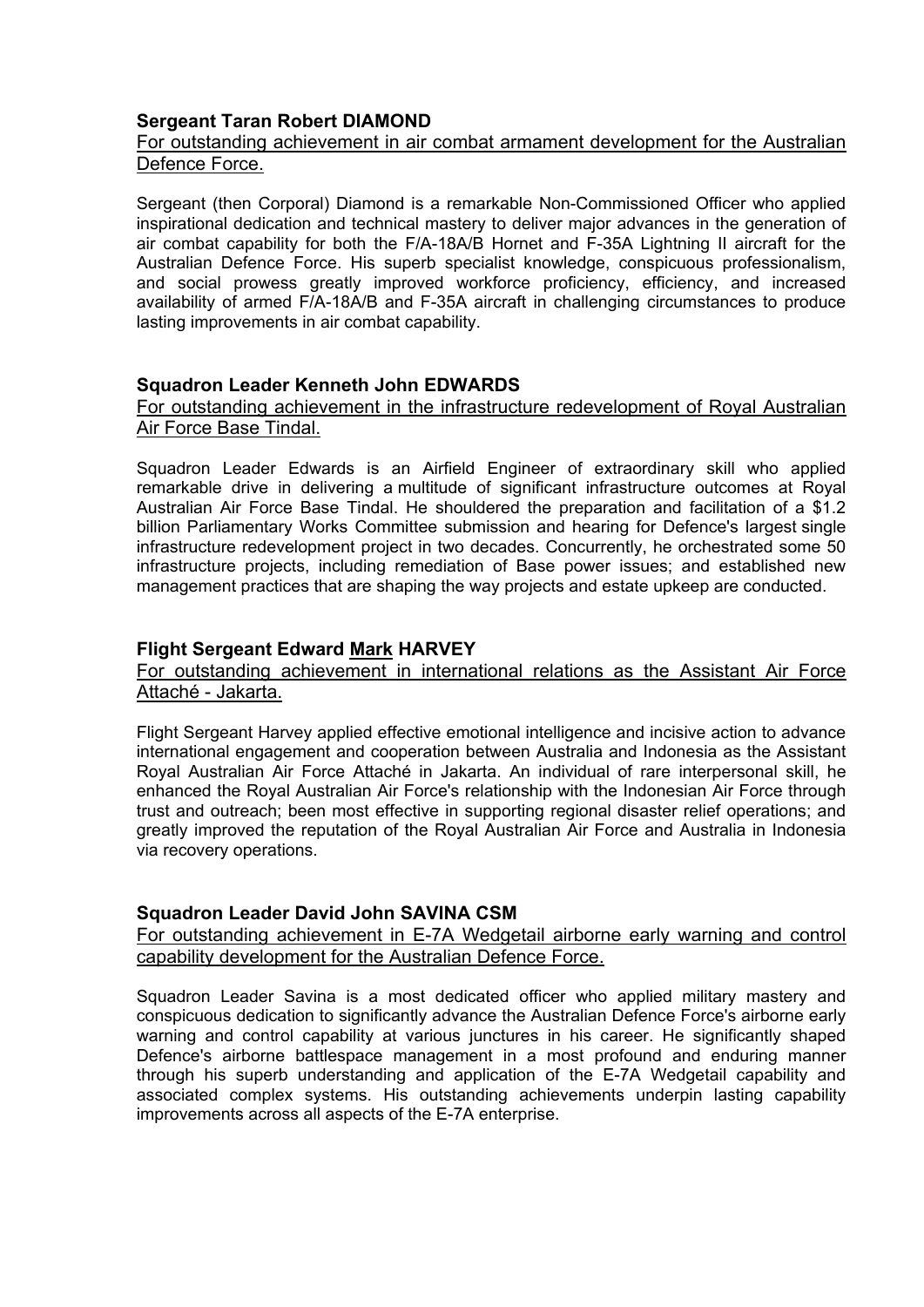# **Sergeant Taran Robert DIAMOND**

## For outstanding achievement in air combat armament development for the Australian Defence Force.

Sergeant (then Corporal) Diamond is a remarkable Non-Commissioned Officer who applied inspirational dedication and technical mastery to deliver major advances in the generation of air combat capability for both the F/A-18A/B Hornet and F-35A Lightning II aircraft for the Australian Defence Force. His superb specialist knowledge, conspicuous professionalism, and social prowess greatly improved workforce proficiency, efficiency, and increased availability of armed F/A-18A/B and F-35A aircraft in challenging circumstances to produce lasting improvements in air combat capability.

### **Squadron Leader Kenneth John EDWARDS**

#### For outstanding achievement in the infrastructure redevelopment of Royal Australian Air Force Base Tindal.

Squadron Leader Edwards is an Airfield Engineer of extraordinary skill who applied remarkable drive in delivering a multitude of significant infrastructure outcomes at Royal Australian Air Force Base Tindal. He shouldered the preparation and facilitation of a \$1.2 billion Parliamentary Works Committee submission and hearing for Defence's largest single infrastructure redevelopment project in two decades. Concurrently, he orchestrated some 50 infrastructure projects, including remediation of Base power issues; and established new management practices that are shaping the way projects and estate upkeep are conducted.

### **Flight Sergeant Edward Mark HARVEY**

For outstanding achievement in international relations as the Assistant Air Force Attaché - Jakarta.

Flight Sergeant Harvey applied effective emotional intelligence and incisive action to advance international engagement and cooperation between Australia and Indonesia as the Assistant Royal Australian Air Force Attaché in Jakarta. An individual of rare interpersonal skill, he enhanced the Royal Australian Air Force's relationship with the Indonesian Air Force through trust and outreach; been most effective in supporting regional disaster relief operations; and greatly improved the reputation of the Royal Australian Air Force and Australia in Indonesia via recovery operations.

#### **Squadron Leader David John SAVINA CSM**

For outstanding achievement in E-7A Wedgetail airborne early warning and control capability development for the Australian Defence Force.

Squadron Leader Savina is a most dedicated officer who applied military mastery and conspicuous dedication to significantly advance the Australian Defence Force's airborne early warning and control capability at various junctures in his career. He significantly shaped Defence's airborne battlespace management in a most profound and enduring manner through his superb understanding and application of the E-7A Wedgetail capability and associated complex systems. His outstanding achievements underpin lasting capability improvements across all aspects of the E-7A enterprise.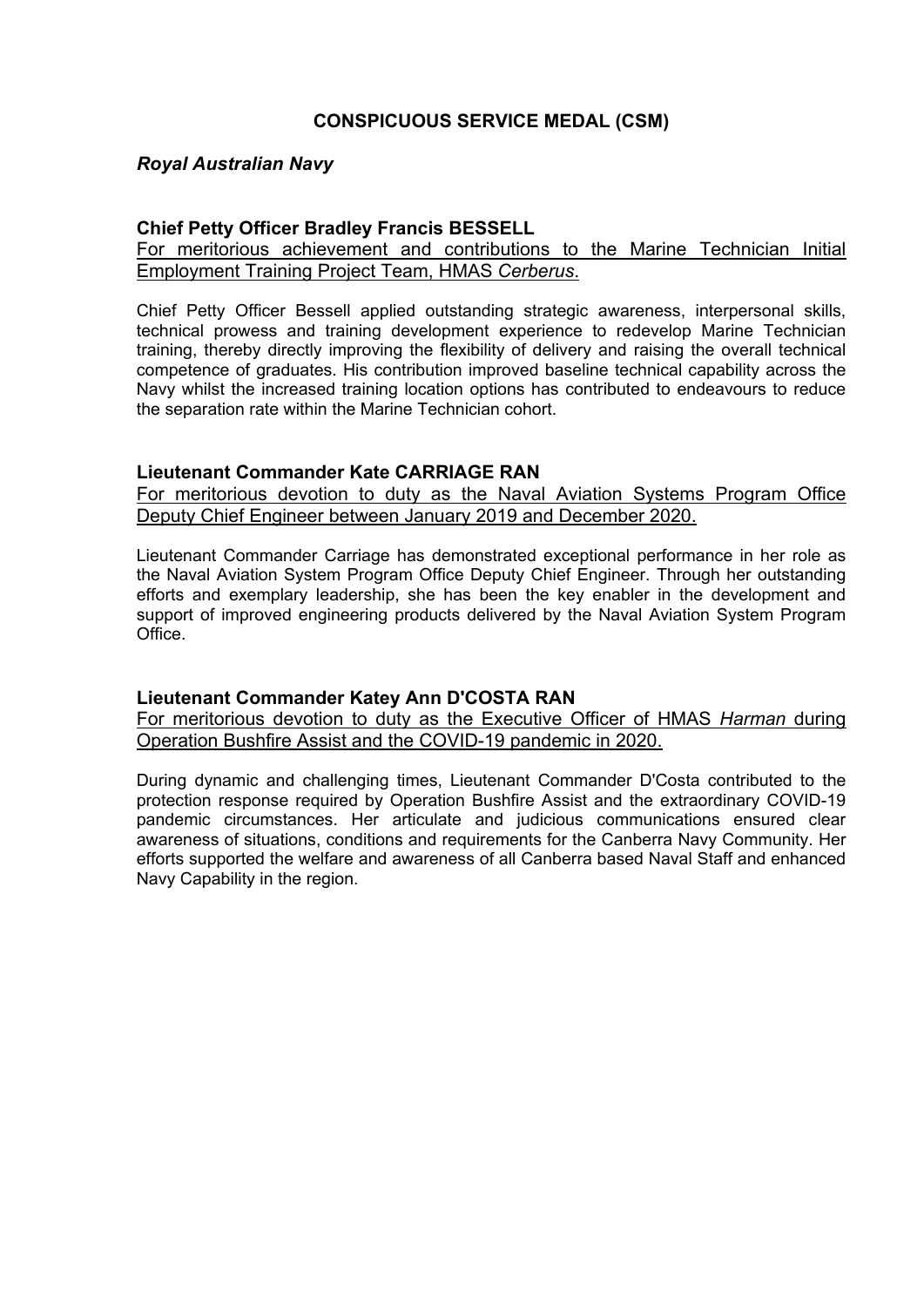## **CONSPICUOUS SERVICE MEDAL (CSM)**

### *Royal Australian Navy*

#### **Chief Petty Officer Bradley Francis BESSELL**

### For meritorious achievement and contributions to the Marine Technician Initial Employment Training Project Team, HMAS *Cerberus*.

Chief Petty Officer Bessell applied outstanding strategic awareness, interpersonal skills, technical prowess and training development experience to redevelop Marine Technician training, thereby directly improving the flexibility of delivery and raising the overall technical competence of graduates. His contribution improved baseline technical capability across the Navy whilst the increased training location options has contributed to endeavours to reduce the separation rate within the Marine Technician cohort.

#### **Lieutenant Commander Kate CARRIAGE RAN**

For meritorious devotion to duty as the Naval Aviation Systems Program Office Deputy Chief Engineer between January 2019 and December 2020.

Lieutenant Commander Carriage has demonstrated exceptional performance in her role as the Naval Aviation System Program Office Deputy Chief Engineer. Through her outstanding efforts and exemplary leadership, she has been the key enabler in the development and support of improved engineering products delivered by the Naval Aviation System Program Office.

#### **Lieutenant Commander Katey Ann D'COSTA RAN**

For meritorious devotion to duty as the Executive Officer of HMAS *Harman* during Operation Bushfire Assist and the COVID-19 pandemic in 2020.

During dynamic and challenging times, Lieutenant Commander D'Costa contributed to the protection response required by Operation Bushfire Assist and the extraordinary COVID-19 pandemic circumstances. Her articulate and judicious communications ensured clear awareness of situations, conditions and requirements for the Canberra Navy Community. Her efforts supported the welfare and awareness of all Canberra based Naval Staff and enhanced Navy Capability in the region.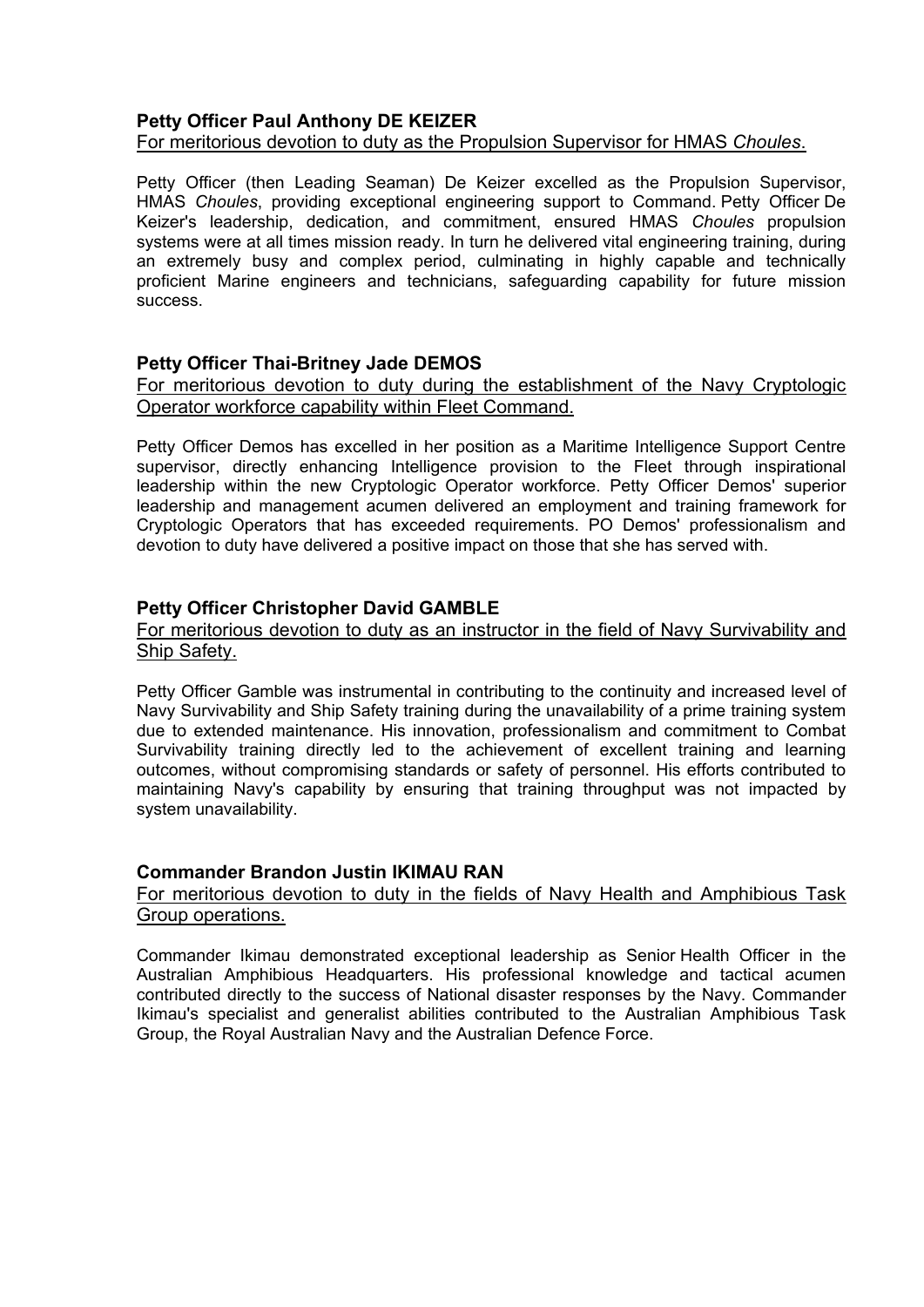#### **Petty Officer Paul Anthony DE KEIZER** For meritorious devotion to duty as the Propulsion Supervisor for HMAS *Choules*.

Petty Officer (then Leading Seaman) De Keizer excelled as the Propulsion Supervisor, HMAS *Choules*, providing exceptional engineering support to Command. Petty Officer De Keizer's leadership, dedication, and commitment, ensured HMAS *Choules* propulsion systems were at all times mission ready. In turn he delivered vital engineering training, during an extremely busy and complex period, culminating in highly capable and technically proficient Marine engineers and technicians, safeguarding capability for future mission success.

### **Petty Officer Thai-Britney Jade DEMOS**

### For meritorious devotion to duty during the establishment of the Navy Cryptologic Operator workforce capability within Fleet Command.

Petty Officer Demos has excelled in her position as a Maritime Intelligence Support Centre supervisor, directly enhancing Intelligence provision to the Fleet through inspirational leadership within the new Cryptologic Operator workforce. Petty Officer Demos' superior leadership and management acumen delivered an employment and training framework for Cryptologic Operators that has exceeded requirements. PO Demos' professionalism and devotion to duty have delivered a positive impact on those that she has served with.

#### **Petty Officer Christopher David GAMBLE**

#### For meritorious devotion to duty as an instructor in the field of Navy Survivability and Ship Safety.

Petty Officer Gamble was instrumental in contributing to the continuity and increased level of Navy Survivability and Ship Safety training during the unavailability of a prime training system due to extended maintenance. His innovation, professionalism and commitment to Combat Survivability training directly led to the achievement of excellent training and learning outcomes, without compromising standards or safety of personnel. His efforts contributed to maintaining Navy's capability by ensuring that training throughput was not impacted by system unavailability.

#### **Commander Brandon Justin IKIMAU RAN**

#### For meritorious devotion to duty in the fields of Navy Health and Amphibious Task Group operations.

Commander Ikimau demonstrated exceptional leadership as Senior Health Officer in the Australian Amphibious Headquarters. His professional knowledge and tactical acumen contributed directly to the success of National disaster responses by the Navy. Commander Ikimau's specialist and generalist abilities contributed to the Australian Amphibious Task Group, the Royal Australian Navy and the Australian Defence Force.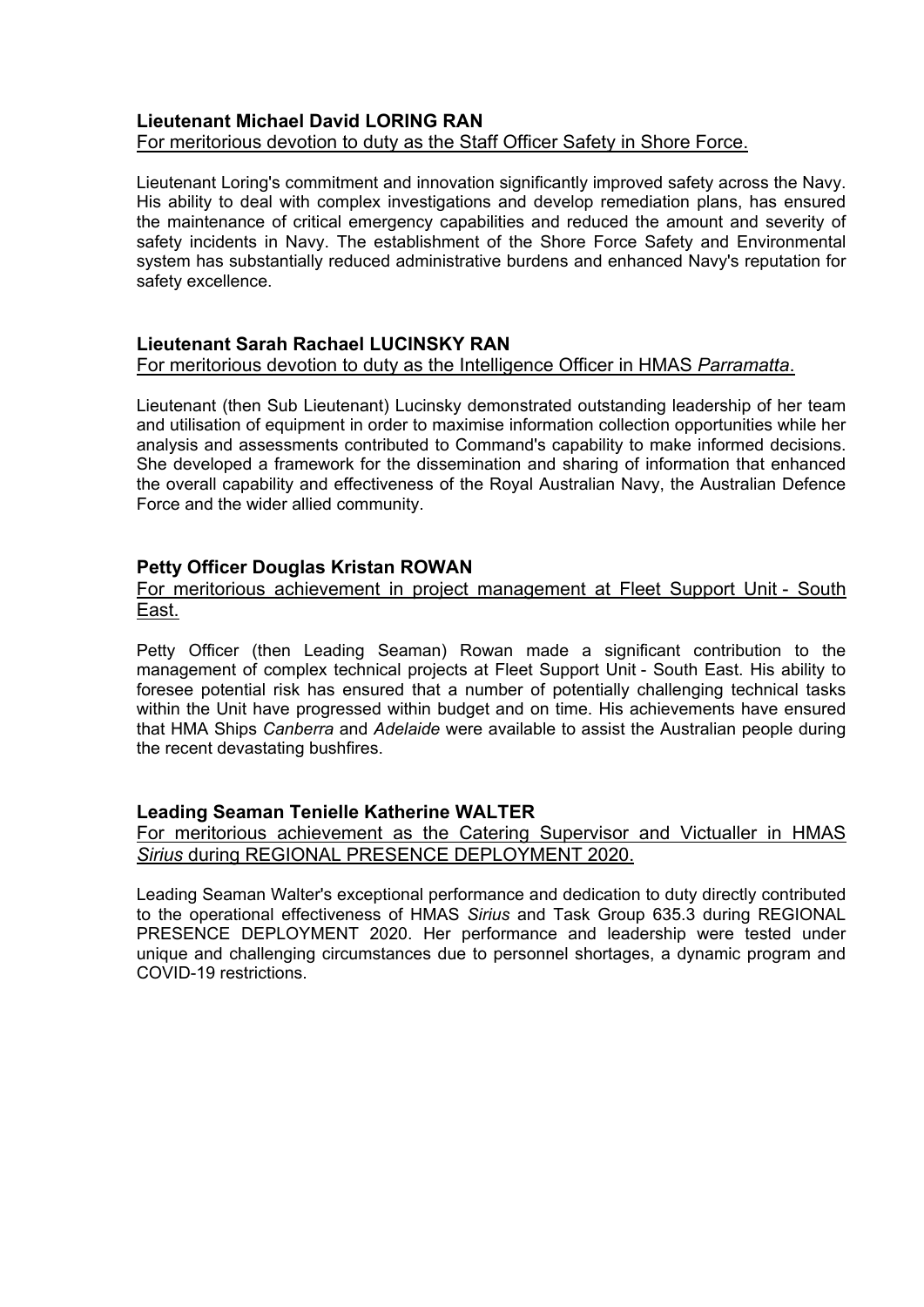### **Lieutenant Michael David LORING RAN** For meritorious devotion to duty as the Staff Officer Safety in Shore Force.

Lieutenant Loring's commitment and innovation significantly improved safety across the Navy. His ability to deal with complex investigations and develop remediation plans, has ensured the maintenance of critical emergency capabilities and reduced the amount and severity of safety incidents in Navy. The establishment of the Shore Force Safety and Environmental system has substantially reduced administrative burdens and enhanced Navy's reputation for safety excellence.

## **Lieutenant Sarah Rachael LUCINSKY RAN**

### For meritorious devotion to duty as the Intelligence Officer in HMAS *Parramatta*.

Lieutenant (then Sub Lieutenant) Lucinsky demonstrated outstanding leadership of her team and utilisation of equipment in order to maximise information collection opportunities while her analysis and assessments contributed to Command's capability to make informed decisions. She developed a framework for the dissemination and sharing of information that enhanced the overall capability and effectiveness of the Royal Australian Navy, the Australian Defence Force and the wider allied community.

### **Petty Officer Douglas Kristan ROWAN**

#### For meritorious achievement in project management at Fleet Support Unit - South East.

Petty Officer (then Leading Seaman) Rowan made a significant contribution to the management of complex technical projects at Fleet Support Unit - South East. His ability to foresee potential risk has ensured that a number of potentially challenging technical tasks within the Unit have progressed within budget and on time. His achievements have ensured that HMA Ships *Canberra* and *Adelaide* were available to assist the Australian people during the recent devastating bushfires.

## **Leading Seaman Tenielle Katherine WALTER**

For meritorious achievement as the Catering Supervisor and Victualler in HMAS *Sirius* during REGIONAL PRESENCE DEPLOYMENT 2020.

Leading Seaman Walter's exceptional performance and dedication to duty directly contributed to the operational effectiveness of HMAS *Sirius* and Task Group 635.3 during REGIONAL PRESENCE DEPLOYMENT 2020. Her performance and leadership were tested under unique and challenging circumstances due to personnel shortages, a dynamic program and COVID-19 restrictions.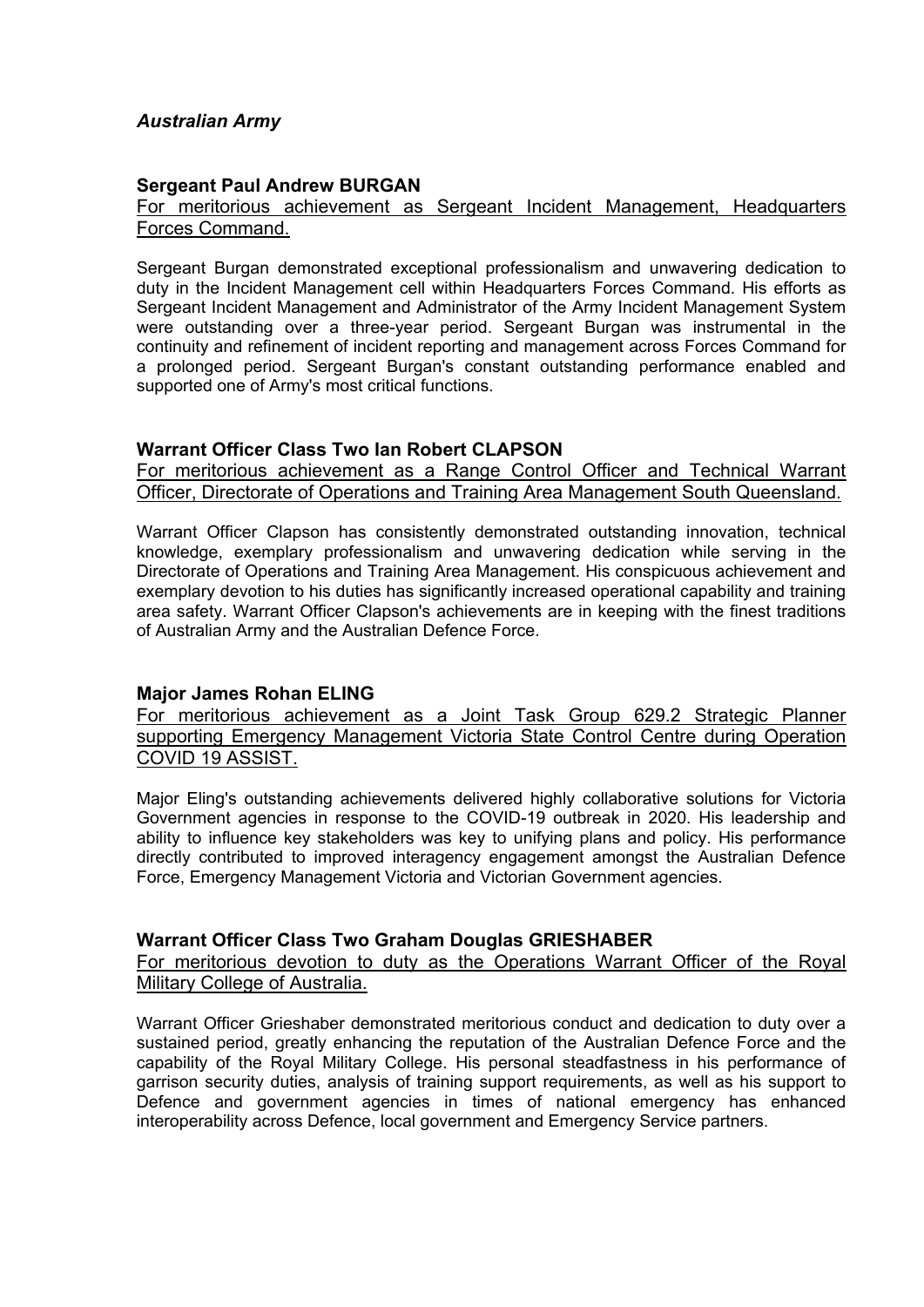# *Australian Army*

### **Sergeant Paul Andrew BURGAN**

For meritorious achievement as Sergeant Incident Management, Headquarters Forces Command.

Sergeant Burgan demonstrated exceptional professionalism and unwavering dedication to duty in the Incident Management cell within Headquarters Forces Command. His efforts as Sergeant Incident Management and Administrator of the Army Incident Management System were outstanding over a three-year period. Sergeant Burgan was instrumental in the continuity and refinement of incident reporting and management across Forces Command for a prolonged period. Sergeant Burgan's constant outstanding performance enabled and supported one of Army's most critical functions.

#### **Warrant Officer Class Two Ian Robert CLAPSON**

For meritorious achievement as a Range Control Officer and Technical Warrant Officer, Directorate of Operations and Training Area Management South Queensland.

Warrant Officer Clapson has consistently demonstrated outstanding innovation, technical knowledge, exemplary professionalism and unwavering dedication while serving in the Directorate of Operations and Training Area Management. His conspicuous achievement and exemplary devotion to his duties has significantly increased operational capability and training area safety. Warrant Officer Clapson's achievements are in keeping with the finest traditions of Australian Army and the Australian Defence Force.

## **Major James Rohan ELING**

For meritorious achievement as a Joint Task Group 629.2 Strategic Planner supporting Emergency Management Victoria State Control Centre during Operation COVID 19 ASSIST.

Major Eling's outstanding achievements delivered highly collaborative solutions for Victoria Government agencies in response to the COVID-19 outbreak in 2020. His leadership and ability to influence key stakeholders was key to unifying plans and policy. His performance directly contributed to improved interagency engagement amongst the Australian Defence Force, Emergency Management Victoria and Victorian Government agencies.

#### **Warrant Officer Class Two Graham Douglas GRIESHABER**

For meritorious devotion to duty as the Operations Warrant Officer of the Royal Military College of Australia.

Warrant Officer Grieshaber demonstrated meritorious conduct and dedication to duty over a sustained period, greatly enhancing the reputation of the Australian Defence Force and the capability of the Royal Military College. His personal steadfastness in his performance of garrison security duties, analysis of training support requirements, as well as his support to Defence and government agencies in times of national emergency has enhanced interoperability across Defence, local government and Emergency Service partners.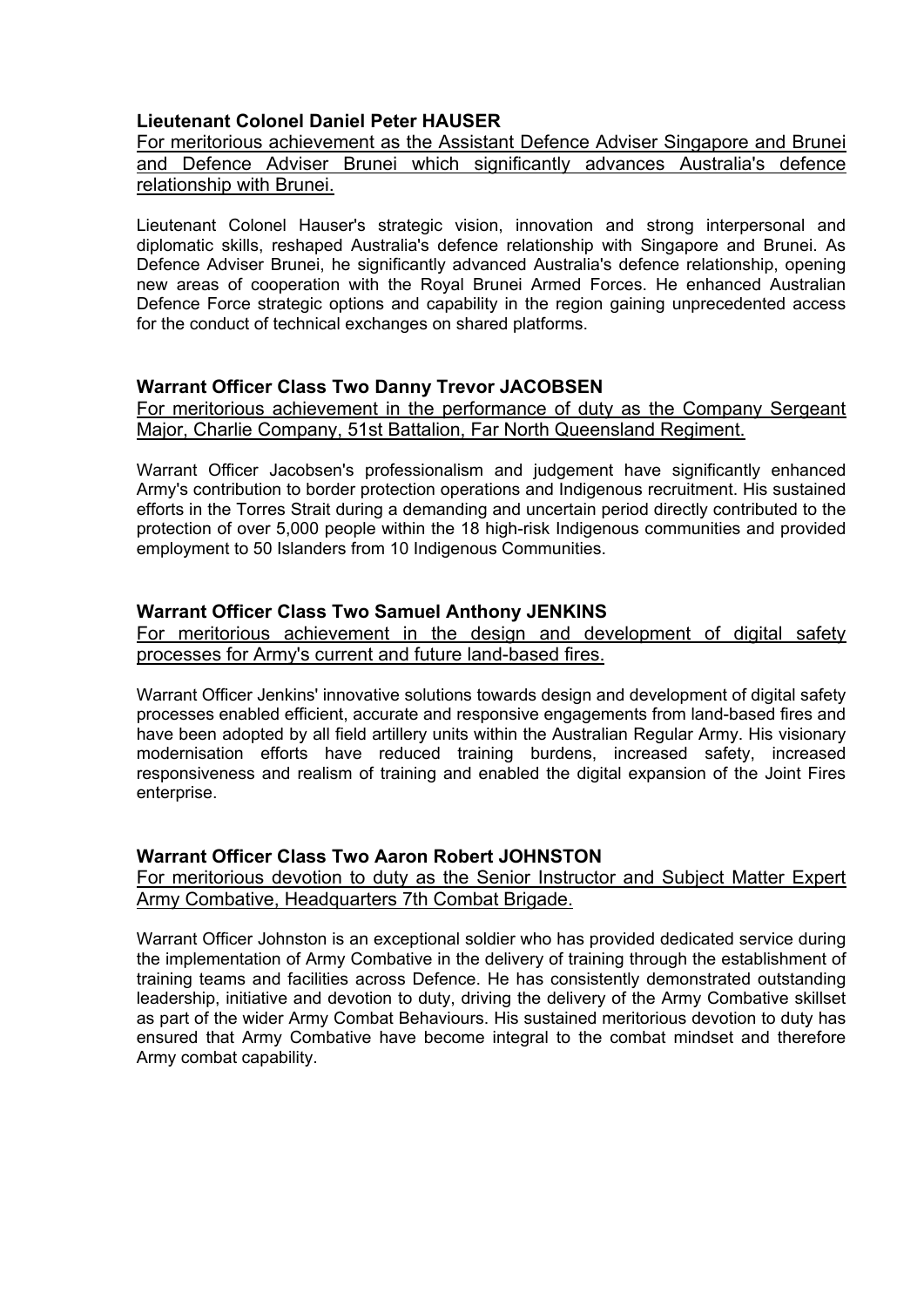# **Lieutenant Colonel Daniel Peter HAUSER**

For meritorious achievement as the Assistant Defence Adviser Singapore and Brunei and Defence Adviser Brunei which significantly advances Australia's defence relationship with Brunei.

Lieutenant Colonel Hauser's strategic vision, innovation and strong interpersonal and diplomatic skills, reshaped Australia's defence relationship with Singapore and Brunei. As Defence Adviser Brunei, he significantly advanced Australia's defence relationship, opening new areas of cooperation with the Royal Brunei Armed Forces. He enhanced Australian Defence Force strategic options and capability in the region gaining unprecedented access for the conduct of technical exchanges on shared platforms.

### **Warrant Officer Class Two Danny Trevor JACOBSEN**

For meritorious achievement in the performance of duty as the Company Sergeant Major, Charlie Company, 51st Battalion, Far North Queensland Regiment.

Warrant Officer Jacobsen's professionalism and judgement have significantly enhanced Army's contribution to border protection operations and Indigenous recruitment. His sustained efforts in the Torres Strait during a demanding and uncertain period directly contributed to the protection of over 5,000 people within the 18 high-risk Indigenous communities and provided employment to 50 Islanders from 10 Indigenous Communities.

### **Warrant Officer Class Two Samuel Anthony JENKINS**

For meritorious achievement in the design and development of digital safety processes for Army's current and future land-based fires.

Warrant Officer Jenkins' innovative solutions towards design and development of digital safety processes enabled efficient, accurate and responsive engagements from land-based fires and have been adopted by all field artillery units within the Australian Regular Army. His visionary modernisation efforts have reduced training burdens, increased safety, increased responsiveness and realism of training and enabled the digital expansion of the Joint Fires enterprise.

## **Warrant Officer Class Two Aaron Robert JOHNSTON**

For meritorious devotion to duty as the Senior Instructor and Subject Matter Expert Army Combative, Headquarters 7th Combat Brigade.

Warrant Officer Johnston is an exceptional soldier who has provided dedicated service during the implementation of Army Combative in the delivery of training through the establishment of training teams and facilities across Defence. He has consistently demonstrated outstanding leadership, initiative and devotion to duty, driving the delivery of the Army Combative skillset as part of the wider Army Combat Behaviours. His sustained meritorious devotion to duty has ensured that Army Combative have become integral to the combat mindset and therefore Army combat capability.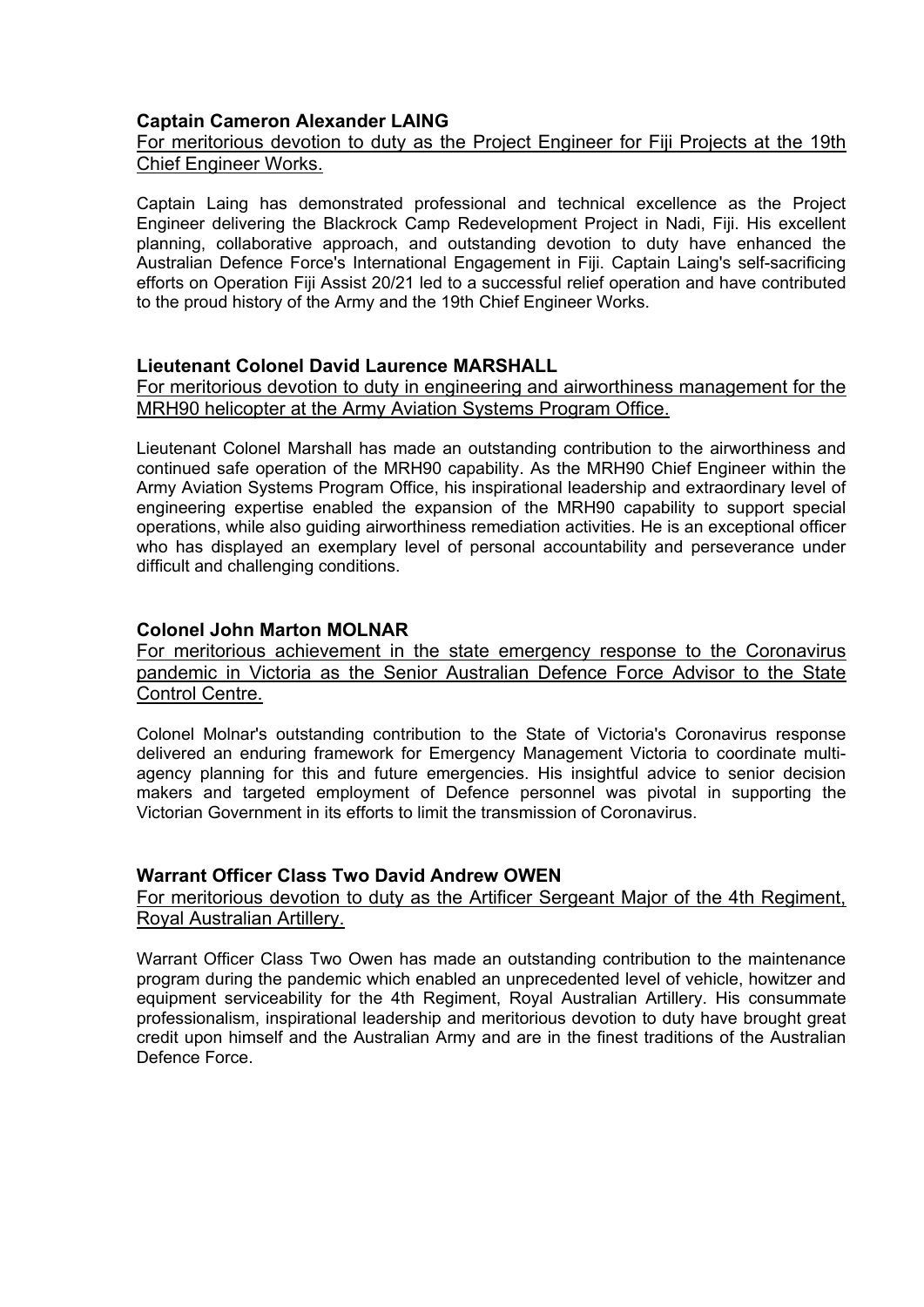## **Captain Cameron Alexander LAING**

## For meritorious devotion to duty as the Project Engineer for Fiji Projects at the 19th Chief Engineer Works.

Captain Laing has demonstrated professional and technical excellence as the Project Engineer delivering the Blackrock Camp Redevelopment Project in Nadi, Fiji. His excellent planning, collaborative approach, and outstanding devotion to duty have enhanced the Australian Defence Force's International Engagement in Fiji. Captain Laing's self-sacrificing efforts on Operation Fiji Assist 20/21 led to a successful relief operation and have contributed to the proud history of the Army and the 19th Chief Engineer Works.

### **Lieutenant Colonel David Laurence MARSHALL**

For meritorious devotion to duty in engineering and airworthiness management for the MRH90 helicopter at the Army Aviation Systems Program Office.

Lieutenant Colonel Marshall has made an outstanding contribution to the airworthiness and continued safe operation of the MRH90 capability. As the MRH90 Chief Engineer within the Army Aviation Systems Program Office, his inspirational leadership and extraordinary level of engineering expertise enabled the expansion of the MRH90 capability to support special operations, while also guiding airworthiness remediation activities. He is an exceptional officer who has displayed an exemplary level of personal accountability and perseverance under difficult and challenging conditions.

### **Colonel John Marton MOLNAR**

For meritorious achievement in the state emergency response to the Coronavirus pandemic in Victoria as the Senior Australian Defence Force Advisor to the State Control Centre.

Colonel Molnar's outstanding contribution to the State of Victoria's Coronavirus response delivered an enduring framework for Emergency Management Victoria to coordinate multiagency planning for this and future emergencies. His insightful advice to senior decision makers and targeted employment of Defence personnel was pivotal in supporting the Victorian Government in its efforts to limit the transmission of Coronavirus.

### **Warrant Officer Class Two David Andrew OWEN**

#### For meritorious devotion to duty as the Artificer Sergeant Major of the 4th Regiment, Royal Australian Artillery.

Warrant Officer Class Two Owen has made an outstanding contribution to the maintenance program during the pandemic which enabled an unprecedented level of vehicle, howitzer and equipment serviceability for the 4th Regiment, Royal Australian Artillery. His consummate professionalism, inspirational leadership and meritorious devotion to duty have brought great credit upon himself and the Australian Army and are in the finest traditions of the Australian Defence Force.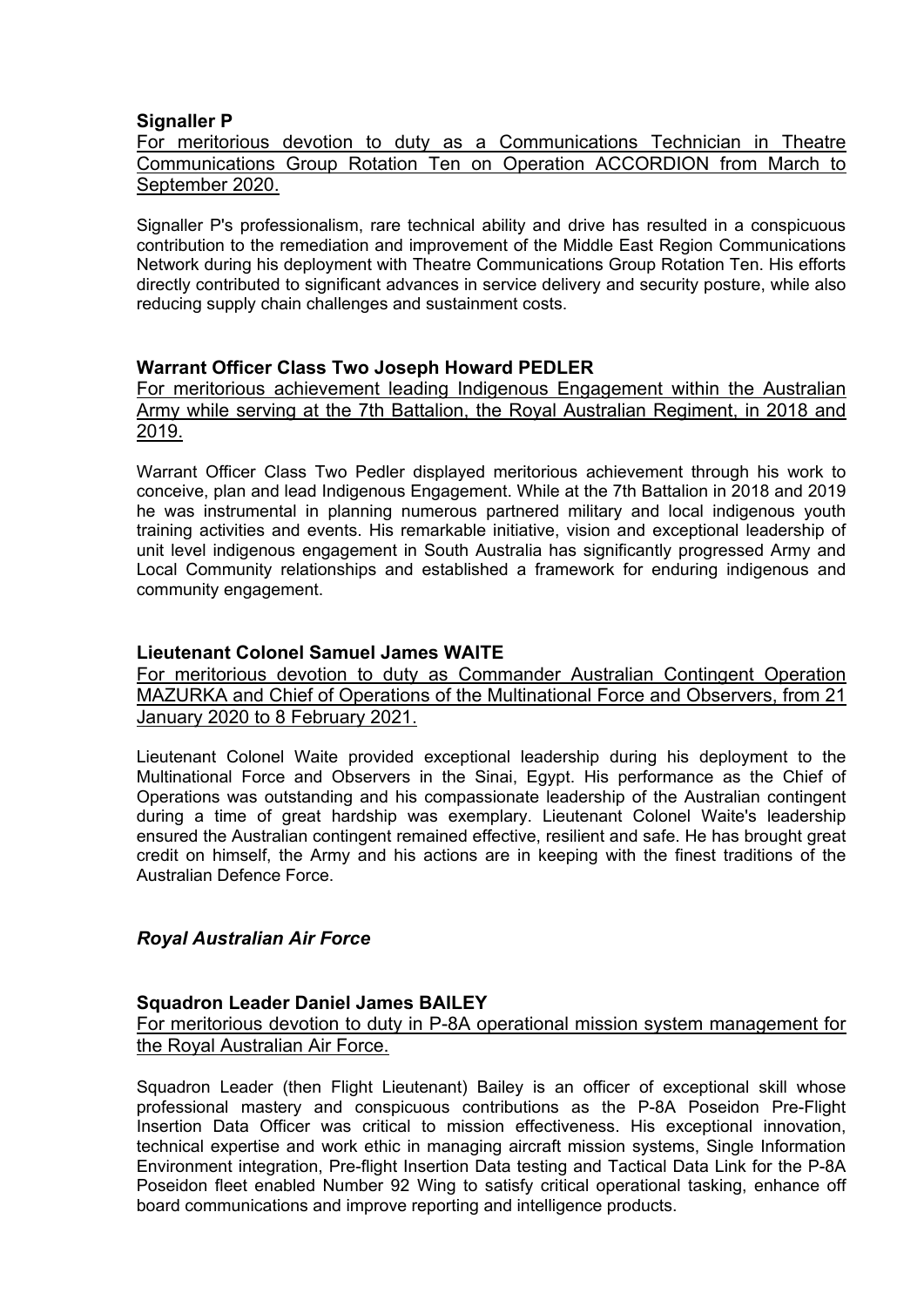### **Signaller P**

For meritorious devotion to duty as a Communications Technician in Theatre Communications Group Rotation Ten on Operation ACCORDION from March to September 2020.

Signaller P's professionalism, rare technical ability and drive has resulted in a conspicuous contribution to the remediation and improvement of the Middle East Region Communications Network during his deployment with Theatre Communications Group Rotation Ten. His efforts directly contributed to significant advances in service delivery and security posture, while also reducing supply chain challenges and sustainment costs.

## **Warrant Officer Class Two Joseph Howard PEDLER**

For meritorious achievement leading Indigenous Engagement within the Australian Army while serving at the 7th Battalion, the Royal Australian Regiment, in 2018 and 2019.

Warrant Officer Class Two Pedler displayed meritorious achievement through his work to conceive, plan and lead Indigenous Engagement. While at the 7th Battalion in 2018 and 2019 he was instrumental in planning numerous partnered military and local indigenous youth training activities and events. His remarkable initiative, vision and exceptional leadership of unit level indigenous engagement in South Australia has significantly progressed Army and Local Community relationships and established a framework for enduring indigenous and community engagement.

### **Lieutenant Colonel Samuel James WAITE**

For meritorious devotion to duty as Commander Australian Contingent Operation MAZURKA and Chief of Operations of the Multinational Force and Observers, from 21 January 2020 to 8 February 2021.

Lieutenant Colonel Waite provided exceptional leadership during his deployment to the Multinational Force and Observers in the Sinai, Egypt. His performance as the Chief of Operations was outstanding and his compassionate leadership of the Australian contingent during a time of great hardship was exemplary. Lieutenant Colonel Waite's leadership ensured the Australian contingent remained effective, resilient and safe. He has brought great credit on himself, the Army and his actions are in keeping with the finest traditions of the Australian Defence Force.

## *Royal Australian Air Force*

#### **Squadron Leader Daniel James BAILEY**

For meritorious devotion to duty in P-8A operational mission system management for the Royal Australian Air Force.

Squadron Leader (then Flight Lieutenant) Bailey is an officer of exceptional skill whose professional mastery and conspicuous contributions as the P-8A Poseidon Pre-Flight Insertion Data Officer was critical to mission effectiveness. His exceptional innovation, technical expertise and work ethic in managing aircraft mission systems, Single Information Environment integration, Pre-flight Insertion Data testing and Tactical Data Link for the P-8A Poseidon fleet enabled Number 92 Wing to satisfy critical operational tasking, enhance off board communications and improve reporting and intelligence products.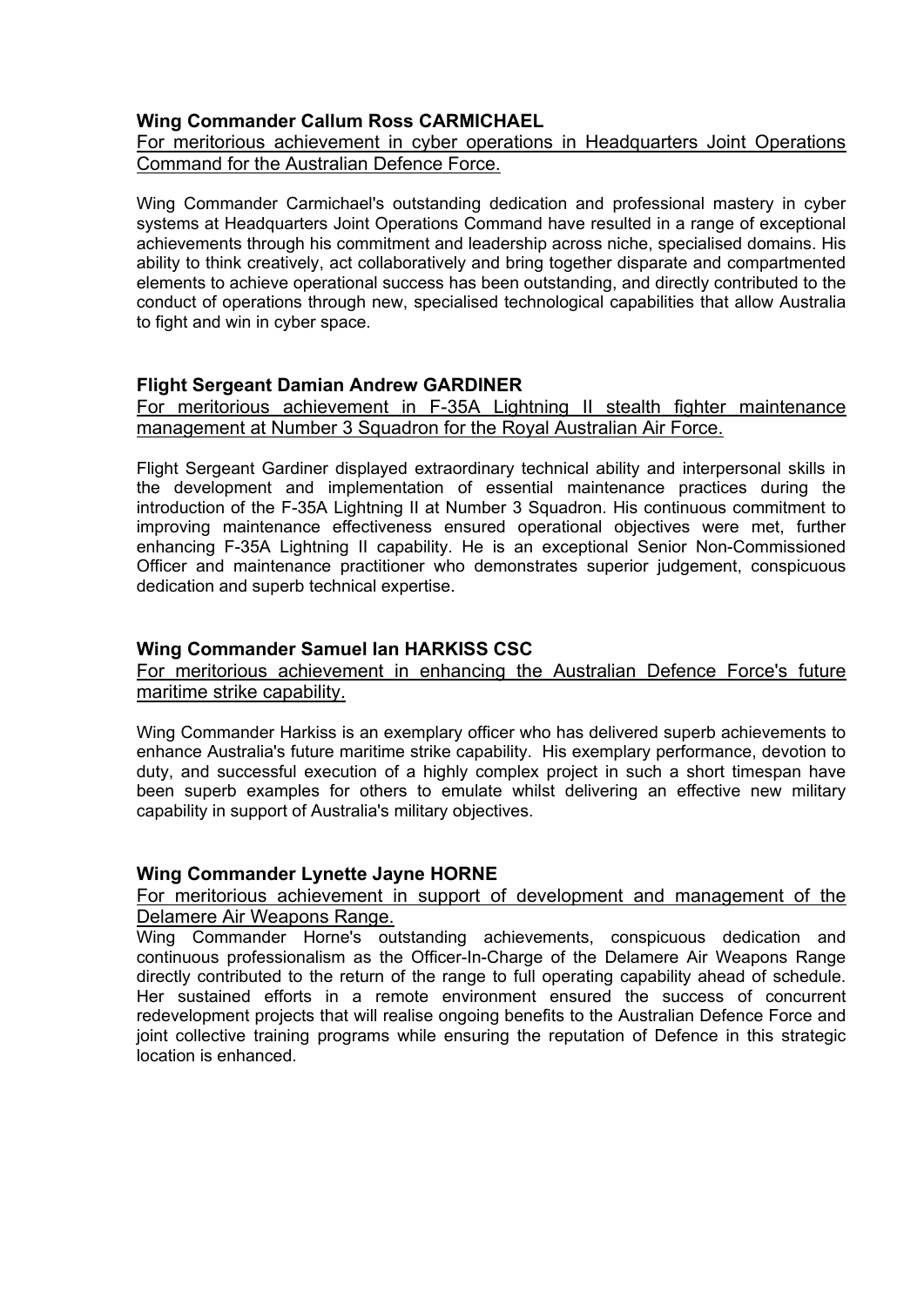# **Wing Commander Callum Ross CARMICHAEL**

# For meritorious achievement in cyber operations in Headquarters Joint Operations Command for the Australian Defence Force.

Wing Commander Carmichael's outstanding dedication and professional mastery in cyber systems at Headquarters Joint Operations Command have resulted in a range of exceptional achievements through his commitment and leadership across niche, specialised domains. His ability to think creatively, act collaboratively and bring together disparate and compartmented elements to achieve operational success has been outstanding, and directly contributed to the conduct of operations through new, specialised technological capabilities that allow Australia to fight and win in cyber space.

### **Flight Sergeant Damian Andrew GARDINER**

For meritorious achievement in F-35A Lightning II stealth fighter maintenance management at Number 3 Squadron for the Royal Australian Air Force.

Flight Sergeant Gardiner displayed extraordinary technical ability and interpersonal skills in the development and implementation of essential maintenance practices during the introduction of the F-35A Lightning II at Number 3 Squadron. His continuous commitment to improving maintenance effectiveness ensured operational objectives were met, further enhancing F-35A Lightning II capability. He is an exceptional Senior Non-Commissioned Officer and maintenance practitioner who demonstrates superior judgement, conspicuous dedication and superb technical expertise.

## **Wing Commander Samuel Ian HARKISS CSC**

For meritorious achievement in enhancing the Australian Defence Force's future maritime strike capability.

Wing Commander Harkiss is an exemplary officer who has delivered superb achievements to enhance Australia's future maritime strike capability. His exemplary performance, devotion to duty, and successful execution of a highly complex project in such a short timespan have been superb examples for others to emulate whilst delivering an effective new military capability in support of Australia's military objectives.

#### **Wing Commander Lynette Jayne HORNE**

For meritorious achievement in support of development and management of the Delamere Air Weapons Range.

Wing Commander Horne's outstanding achievements, conspicuous dedication and continuous professionalism as the Officer-In-Charge of the Delamere Air Weapons Range directly contributed to the return of the range to full operating capability ahead of schedule. Her sustained efforts in a remote environment ensured the success of concurrent redevelopment projects that will realise ongoing benefits to the Australian Defence Force and joint collective training programs while ensuring the reputation of Defence in this strategic location is enhanced.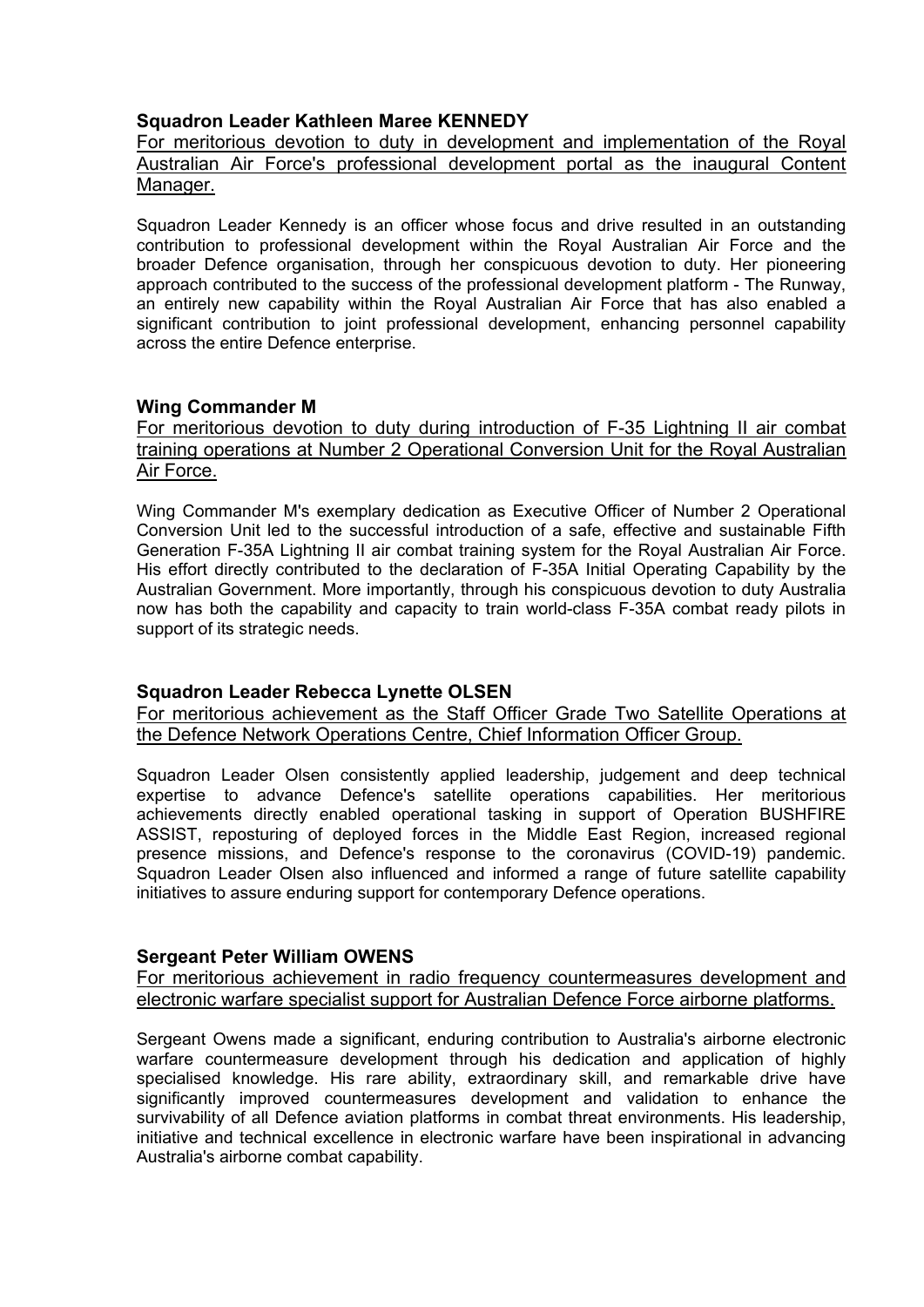# **Squadron Leader Kathleen Maree KENNEDY**

For meritorious devotion to duty in development and implementation of the Royal Australian Air Force's professional development portal as the inaugural Content Manager.

Squadron Leader Kennedy is an officer whose focus and drive resulted in an outstanding contribution to professional development within the Royal Australian Air Force and the broader Defence organisation, through her conspicuous devotion to duty. Her pioneering approach contributed to the success of the professional development platform - The Runway, an entirely new capability within the Royal Australian Air Force that has also enabled a significant contribution to joint professional development, enhancing personnel capability across the entire Defence enterprise.

## **Wing Commander M**

For meritorious devotion to duty during introduction of F-35 Lightning II air combat training operations at Number 2 Operational Conversion Unit for the Royal Australian Air Force.

Wing Commander M's exemplary dedication as Executive Officer of Number 2 Operational Conversion Unit led to the successful introduction of a safe, effective and sustainable Fifth Generation F-35A Lightning II air combat training system for the Royal Australian Air Force. His effort directly contributed to the declaration of F-35A Initial Operating Capability by the Australian Government. More importantly, through his conspicuous devotion to duty Australia now has both the capability and capacity to train world-class F-35A combat ready pilots in support of its strategic needs.

## **Squadron Leader Rebecca Lynette OLSEN**

For meritorious achievement as the Staff Officer Grade Two Satellite Operations at the Defence Network Operations Centre, Chief Information Officer Group.

Squadron Leader Olsen consistently applied leadership, judgement and deep technical expertise to advance Defence's satellite operations capabilities. Her meritorious achievements directly enabled operational tasking in support of Operation BUSHFIRE ASSIST, reposturing of deployed forces in the Middle East Region, increased regional presence missions, and Defence's response to the coronavirus (COVID-19) pandemic. Squadron Leader Olsen also influenced and informed a range of future satellite capability initiatives to assure enduring support for contemporary Defence operations.

## **Sergeant Peter William OWENS**

For meritorious achievement in radio frequency countermeasures development and electronic warfare specialist support for Australian Defence Force airborne platforms.

Sergeant Owens made a significant, enduring contribution to Australia's airborne electronic warfare countermeasure development through his dedication and application of highly specialised knowledge. His rare ability, extraordinary skill, and remarkable drive have significantly improved countermeasures development and validation to enhance the survivability of all Defence aviation platforms in combat threat environments. His leadership, initiative and technical excellence in electronic warfare have been inspirational in advancing Australia's airborne combat capability.